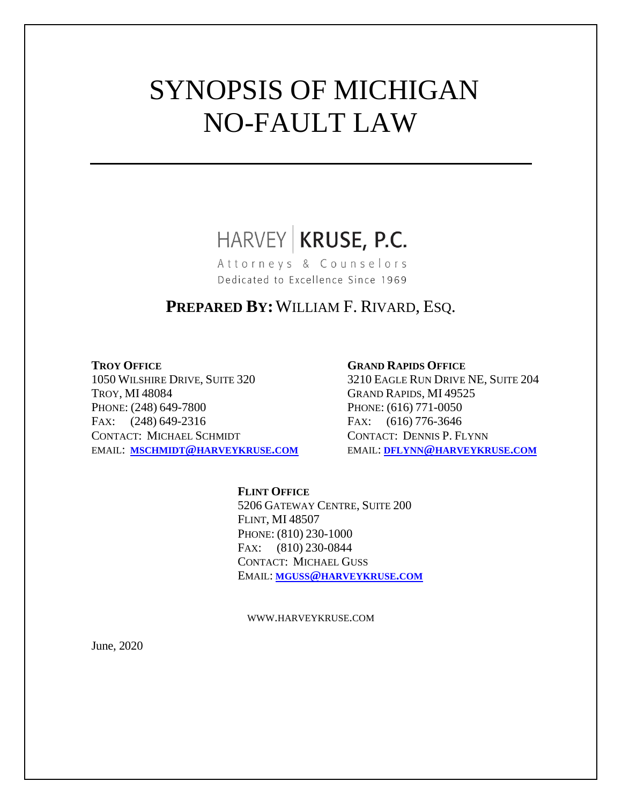# SYNOPSIS OF MICHIGAN NO-FAULT LAW

## HARVEY KRUSE, P.C.

Attorneys & Counselors Dedicated to Excellence Since 1969

### **PREPARED BY:**WILLIAM F. RIVARD, ESQ.

1050 WILSHIRE DRIVE, SUITE 320 3210 EAGLE RUN DRIVE NE, SUITE 204 TROY, MI 48084 GRAND RAPIDS, MI 49525 PHONE: (248) 649-7800 PHONE: (616) 771-0050 FAX:  $(248)$  649-2316 FAX:  $(616)$  776-3646 CONTACT: MICHAEL SCHMIDT CONTACT: DENNIS P. FLYNN EMAIL: **MSCHMIDT@[HARVEYKRUSE](mailto:mschmidt@harveykruse.com).COM** EMAIL: **DFLYNN@[HARVEYKRUSE](mailto:dflynn@harveykruse.com).COM**

#### **TROY OFFICE GRAND RAPIDS OFFICE**

#### **FLINT OFFICE** 5206 GATEWAY CENTRE, SUITE 200 FLINT, MI 48507 PHONE: (810) 230-1000 FAX: (810) 230-0844 CONTACT: MICHAEL GUSS EMAIL: **MGUSS@[HARVEYKRUSE](mailto:mguss@harveykruse.com).COM**

WWW.HARVEYKRUSE.COM

June, 2020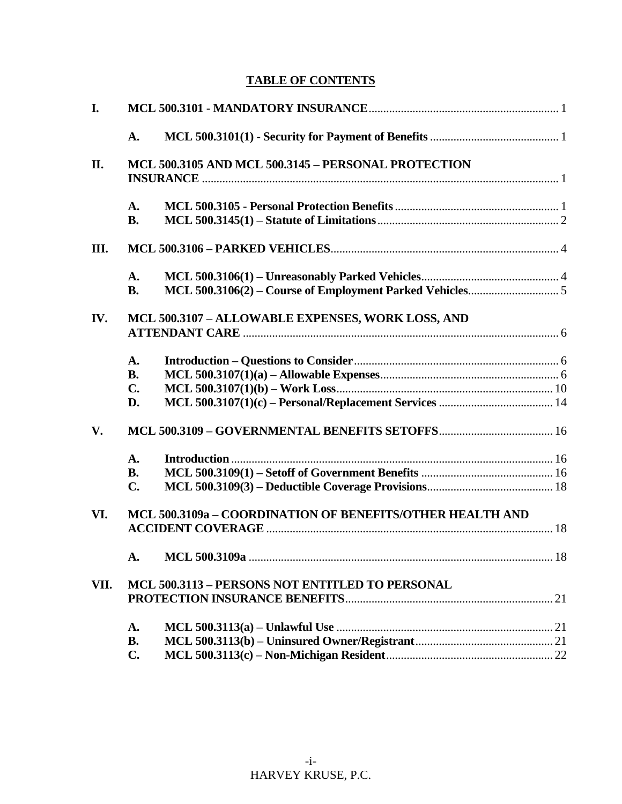### **TABLE OF CONTENTS**

| I.   |                                                           |  |  |
|------|-----------------------------------------------------------|--|--|
|      | A.                                                        |  |  |
| II.  | MCL 500.3105 AND MCL 500.3145 - PERSONAL PROTECTION       |  |  |
|      | A.<br><b>B.</b>                                           |  |  |
| Ш.   |                                                           |  |  |
|      | A.<br><b>B.</b>                                           |  |  |
| IV.  | MCL 500.3107 - ALLOWABLE EXPENSES, WORK LOSS, AND         |  |  |
|      | A.<br><b>B.</b>                                           |  |  |
|      | C.<br>D.                                                  |  |  |
| V.   |                                                           |  |  |
|      | $\mathbf{A}$ .<br><b>B.</b><br>C.                         |  |  |
| VI.  | MCL 500.3109a - COORDINATION OF BENEFITS/OTHER HEALTH AND |  |  |
|      |                                                           |  |  |
| VII. | MCL 500.3113 - PERSONS NOT ENTITLED TO PERSONAL           |  |  |
|      | A.                                                        |  |  |
|      | <b>B.</b><br>$C_{\bullet}$                                |  |  |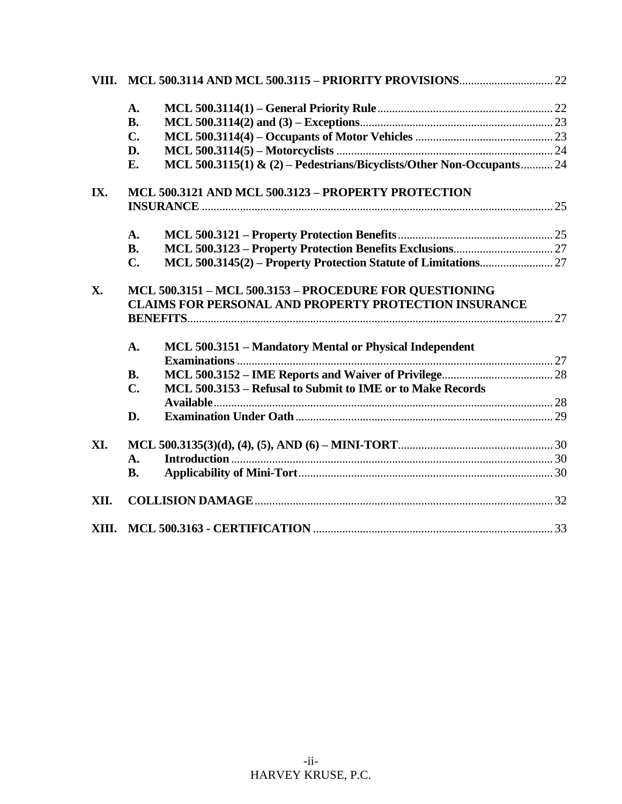|       | $\mathbf{A}$ .                                                                                                          |  |  |
|-------|-------------------------------------------------------------------------------------------------------------------------|--|--|
|       | <b>B.</b>                                                                                                               |  |  |
|       | $C_{\bullet}$                                                                                                           |  |  |
|       | D.                                                                                                                      |  |  |
|       | MCL 500.3115(1) & (2) – Pedestrians/Bicyclists/Other Non-Occupants 24<br>E.                                             |  |  |
| IX.   | MCL 500.3121 AND MCL 500.3123 - PROPERTY PROTECTION                                                                     |  |  |
|       |                                                                                                                         |  |  |
|       | A.                                                                                                                      |  |  |
|       | <b>B.</b>                                                                                                               |  |  |
|       | C.                                                                                                                      |  |  |
| X.    | MCL 500.3151 - MCL 500.3153 - PROCEDURE FOR QUESTIONING<br><b>CLAIMS FOR PERSONAL AND PROPERTY PROTECTION INSURANCE</b> |  |  |
|       |                                                                                                                         |  |  |
|       | MCL 500.3151 - Mandatory Mental or Physical Independent<br>A.                                                           |  |  |
|       | <b>B.</b>                                                                                                               |  |  |
|       | MCL 500.3153 - Refusal to Submit to IME or to Make Records<br>$\mathbf{C}$ .                                            |  |  |
|       |                                                                                                                         |  |  |
|       | D.                                                                                                                      |  |  |
| XI.   |                                                                                                                         |  |  |
|       | $\mathbf{A}$ .                                                                                                          |  |  |
|       | <b>B.</b>                                                                                                               |  |  |
| XII.  |                                                                                                                         |  |  |
| XIII. |                                                                                                                         |  |  |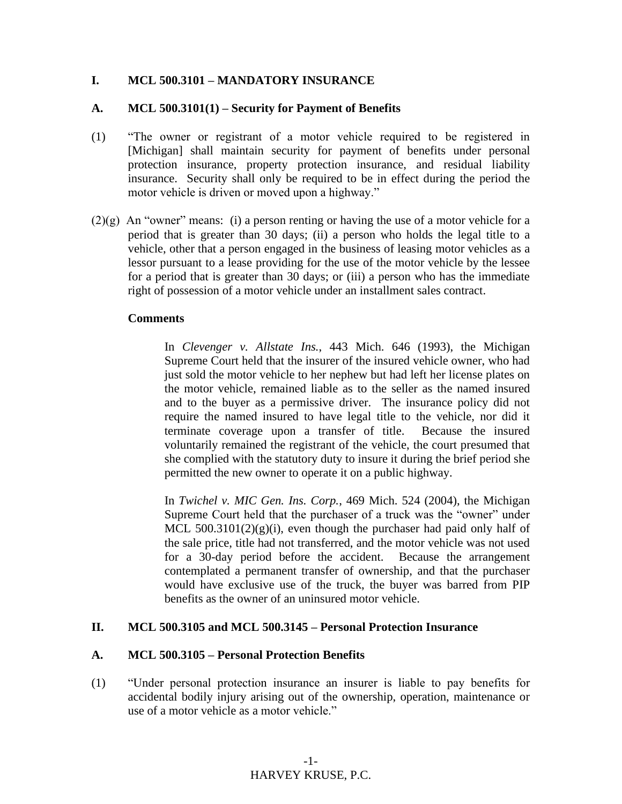#### **I. MCL 500.3101 – MANDATORY INSURANCE**

#### **A. MCL 500.3101(1) – Security for Payment of Benefits**

- (1) "The owner or registrant of a motor vehicle required to be registered in [Michigan] shall maintain security for payment of benefits under personal protection insurance, property protection insurance, and residual liability insurance. Security shall only be required to be in effect during the period the motor vehicle is driven or moved upon a highway."
- $(2)(g)$  An "owner" means: (i) a person renting or having the use of a motor vehicle for a period that is greater than 30 days; (ii) a person who holds the legal title to a vehicle, other that a person engaged in the business of leasing motor vehicles as a lessor pursuant to a lease providing for the use of the motor vehicle by the lessee for a period that is greater than 30 days; or (iii) a person who has the immediate right of possession of a motor vehicle under an installment sales contract.

#### **Comments**

In *Clevenger v. Allstate Ins.*, 443 Mich. 646 (1993), the Michigan Supreme Court held that the insurer of the insured vehicle owner, who had just sold the motor vehicle to her nephew but had left her license plates on the motor vehicle, remained liable as to the seller as the named insured and to the buyer as a permissive driver. The insurance policy did not require the named insured to have legal title to the vehicle, nor did it terminate coverage upon a transfer of title. Because the insured voluntarily remained the registrant of the vehicle, the court presumed that she complied with the statutory duty to insure it during the brief period she permitted the new owner to operate it on a public highway.

In *Twichel v. MIC Gen. Ins. Corp.*, 469 Mich. 524 (2004), the Michigan Supreme Court held that the purchaser of a truck was the "owner" under MCL  $500.3101(2)(g)(i)$ , even though the purchaser had paid only half of the sale price, title had not transferred, and the motor vehicle was not used for a 30-day period before the accident. Because the arrangement contemplated a permanent transfer of ownership, and that the purchaser would have exclusive use of the truck, the buyer was barred from PIP benefits as the owner of an uninsured motor vehicle.

#### **II. MCL 500.3105 and MCL 500.3145 – Personal Protection Insurance**

#### **A. MCL 500.3105 – Personal Protection Benefits**

(1) "Under personal protection insurance an insurer is liable to pay benefits for accidental bodily injury arising out of the ownership, operation, maintenance or use of a motor vehicle as a motor vehicle."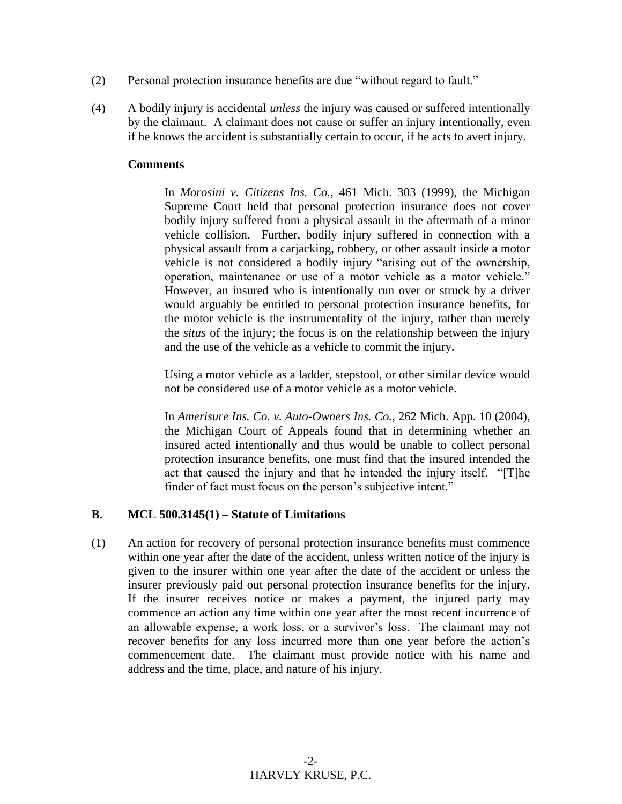- (2) Personal protection insurance benefits are due "without regard to fault."
- (4) A bodily injury is accidental *unless* the injury was caused or suffered intentionally by the claimant. A claimant does not cause or suffer an injury intentionally, even if he knows the accident is substantially certain to occur, if he acts to avert injury.

#### **Comments**

In *Morosini v. Citizens Ins. Co.*, 461 Mich. 303 (1999), the Michigan Supreme Court held that personal protection insurance does not cover bodily injury suffered from a physical assault in the aftermath of a minor vehicle collision. Further, bodily injury suffered in connection with a physical assault from a carjacking, robbery, or other assault inside a motor vehicle is not considered a bodily injury "arising out of the ownership, operation, maintenance or use of a motor vehicle as a motor vehicle." However, an insured who is intentionally run over or struck by a driver would arguably be entitled to personal protection insurance benefits, for the motor vehicle is the instrumentality of the injury, rather than merely the *situs* of the injury; the focus is on the relationship between the injury and the use of the vehicle as a vehicle to commit the injury.

Using a motor vehicle as a ladder, stepstool, or other similar device would not be considered use of a motor vehicle as a motor vehicle.

In *Amerisure Ins. Co. v. Auto-Owners Ins. Co.*, 262 Mich. App. 10 (2004), the Michigan Court of Appeals found that in determining whether an insured acted intentionally and thus would be unable to collect personal protection insurance benefits, one must find that the insured intended the act that caused the injury and that he intended the injury itself. "[T]he finder of fact must focus on the person's subjective intent."

#### **B. MCL 500.3145(1) – Statute of Limitations**

(1) An action for recovery of personal protection insurance benefits must commence within one year after the date of the accident, unless written notice of the injury is given to the insurer within one year after the date of the accident or unless the insurer previously paid out personal protection insurance benefits for the injury. If the insurer receives notice or makes a payment, the injured party may commence an action any time within one year after the most recent incurrence of an allowable expense, a work loss, or a survivor's loss. The claimant may not recover benefits for any loss incurred more than one year before the action's commencement date. The claimant must provide notice with his name and address and the time, place, and nature of his injury.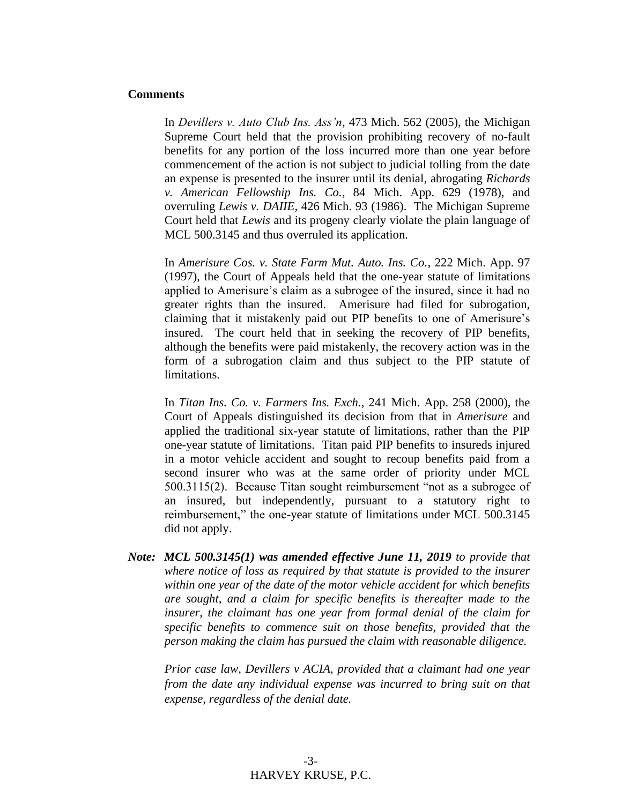#### **Comments**

In *Devillers v. Auto Club Ins. Ass'n*, 473 Mich. 562 (2005), the Michigan Supreme Court held that the provision prohibiting recovery of no-fault benefits for any portion of the loss incurred more than one year before commencement of the action is not subject to judicial tolling from the date an expense is presented to the insurer until its denial, abrogating *Richards v. American Fellowship Ins. Co.*, 84 Mich. App. 629 (1978), and overruling *Lewis v. DAIIE*, 426 Mich. 93 (1986). The Michigan Supreme Court held that *Lewis* and its progeny clearly violate the plain language of MCL 500.3145 and thus overruled its application.

In *Amerisure Cos. v. State Farm Mut. Auto. Ins. Co.*, 222 Mich. App. 97 (1997), the Court of Appeals held that the one-year statute of limitations applied to Amerisure's claim as a subrogee of the insured, since it had no greater rights than the insured. Amerisure had filed for subrogation, claiming that it mistakenly paid out PIP benefits to one of Amerisure's insured. The court held that in seeking the recovery of PIP benefits, although the benefits were paid mistakenly, the recovery action was in the form of a subrogation claim and thus subject to the PIP statute of limitations.

In *Titan Ins. Co. v. Farmers Ins. Exch.*, 241 Mich. App. 258 (2000), the Court of Appeals distinguished its decision from that in *Amerisure* and applied the traditional six-year statute of limitations, rather than the PIP one-year statute of limitations. Titan paid PIP benefits to insureds injured in a motor vehicle accident and sought to recoup benefits paid from a second insurer who was at the same order of priority under MCL 500.3115(2). Because Titan sought reimbursement "not as a subrogee of an insured, but independently, pursuant to a statutory right to reimbursement," the one-year statute of limitations under MCL 500.3145 did not apply.

*Note: MCL 500.3145(1) was amended effective June 11, 2019 to provide that where notice of loss as required by that statute is provided to the insurer within one year of the date of the motor vehicle accident for which benefits are sought, and a claim for specific benefits is thereafter made to the insurer, the claimant has one year from formal denial of the claim for specific benefits to commence suit on those benefits, provided that the person making the claim has pursued the claim with reasonable diligence.*

*Prior case law, Devillers v ACIA, provided that a claimant had one year from the date any individual expense was incurred to bring suit on that expense, regardless of the denial date.*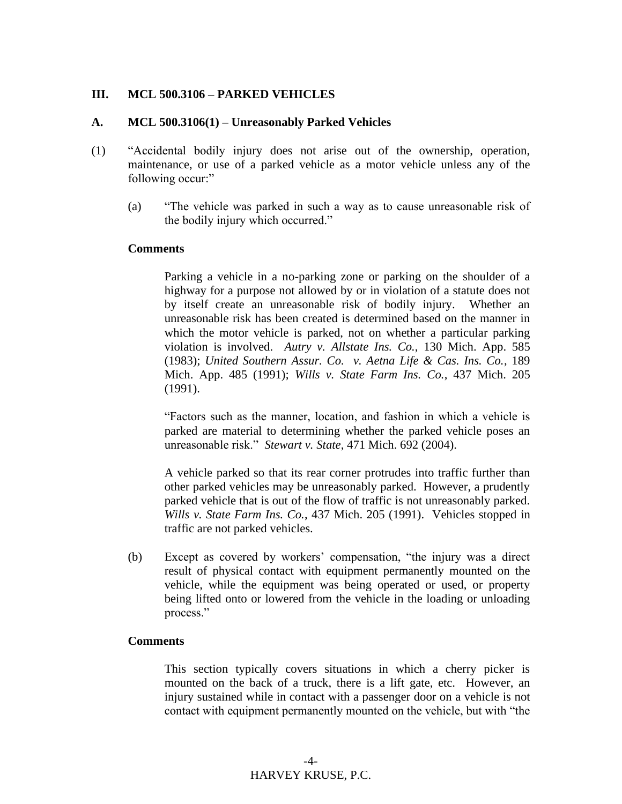#### **III. MCL 500.3106 – PARKED VEHICLES**

#### **A. MCL 500.3106(1) – Unreasonably Parked Vehicles**

- (1) "Accidental bodily injury does not arise out of the ownership, operation, maintenance, or use of a parked vehicle as a motor vehicle unless any of the following occur:"
	- (a) "The vehicle was parked in such a way as to cause unreasonable risk of the bodily injury which occurred."

#### **Comments**

Parking a vehicle in a no-parking zone or parking on the shoulder of a highway for a purpose not allowed by or in violation of a statute does not by itself create an unreasonable risk of bodily injury. Whether an unreasonable risk has been created is determined based on the manner in which the motor vehicle is parked, not on whether a particular parking violation is involved. *Autry v. Allstate Ins. Co.*, 130 Mich. App. 585 (1983); *United Southern Assur. Co. v. Aetna Life & Cas. Ins. Co.*, 189 Mich. App. 485 (1991); *Wills v. State Farm Ins. Co.*, 437 Mich. 205 (1991).

"Factors such as the manner, location, and fashion in which a vehicle is parked are material to determining whether the parked vehicle poses an unreasonable risk." *Stewart v. State*, 471 Mich. 692 (2004).

A vehicle parked so that its rear corner protrudes into traffic further than other parked vehicles may be unreasonably parked. However, a prudently parked vehicle that is out of the flow of traffic is not unreasonably parked. *Wills v. State Farm Ins. Co.*, 437 Mich. 205 (1991). Vehicles stopped in traffic are not parked vehicles.

(b) Except as covered by workers' compensation, "the injury was a direct result of physical contact with equipment permanently mounted on the vehicle, while the equipment was being operated or used, or property being lifted onto or lowered from the vehicle in the loading or unloading process."

#### **Comments**

This section typically covers situations in which a cherry picker is mounted on the back of a truck, there is a lift gate, etc. However, an injury sustained while in contact with a passenger door on a vehicle is not contact with equipment permanently mounted on the vehicle, but with "the

> -4- HARVEY KRUSE, P.C.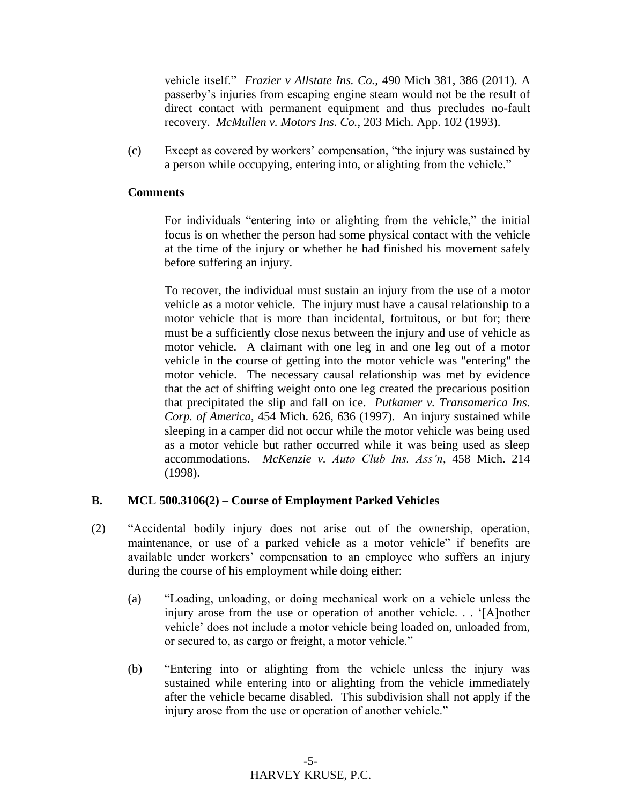vehicle itself." *Frazier v Allstate Ins. Co.,* 490 Mich 381, 386 (2011). A passerby's injuries from escaping engine steam would not be the result of direct contact with permanent equipment and thus precludes no-fault recovery. *McMullen v. Motors Ins. Co.*, 203 Mich. App. 102 (1993).

(c) Except as covered by workers' compensation, "the injury was sustained by a person while occupying, entering into, or alighting from the vehicle."

#### **Comments**

For individuals "entering into or alighting from the vehicle," the initial focus is on whether the person had some physical contact with the vehicle at the time of the injury or whether he had finished his movement safely before suffering an injury.

To recover, the individual must sustain an injury from the use of a motor vehicle as a motor vehicle. The injury must have a causal relationship to a motor vehicle that is more than incidental, fortuitous, or but for; there must be a sufficiently close nexus between the injury and use of vehicle as motor vehicle. A claimant with one leg in and one leg out of a motor vehicle in the course of getting into the motor vehicle was "entering" the motor vehicle. The necessary causal relationship was met by evidence that the act of shifting weight onto one leg created the precarious position that precipitated the slip and fall on ice. *Putkamer v. Transamerica Ins. Corp. of America*, 454 Mich. 626, 636 (1997). An injury sustained while sleeping in a camper did not occur while the motor vehicle was being used as a motor vehicle but rather occurred while it was being used as sleep accommodations. *McKenzie v. Auto Club Ins. Ass'n*, 458 Mich. 214 (1998).

#### **B. MCL 500.3106(2) – Course of Employment Parked Vehicles**

- (2) "Accidental bodily injury does not arise out of the ownership, operation, maintenance, or use of a parked vehicle as a motor vehicle" if benefits are available under workers' compensation to an employee who suffers an injury during the course of his employment while doing either:
	- (a) "Loading, unloading, or doing mechanical work on a vehicle unless the injury arose from the use or operation of another vehicle. . . '[A]nother vehicle' does not include a motor vehicle being loaded on, unloaded from, or secured to, as cargo or freight, a motor vehicle."
	- (b) "Entering into or alighting from the vehicle unless the injury was sustained while entering into or alighting from the vehicle immediately after the vehicle became disabled. This subdivision shall not apply if the injury arose from the use or operation of another vehicle."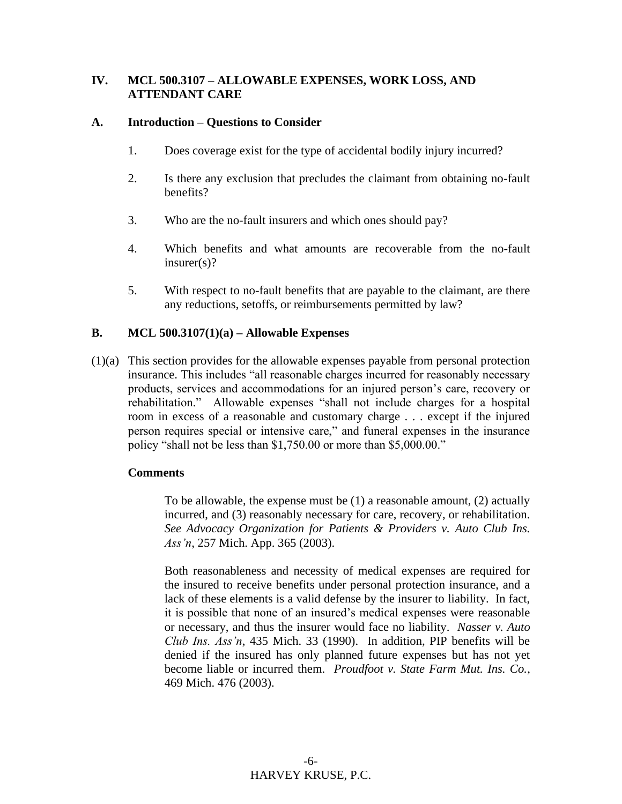#### **IV. MCL 500.3107 – ALLOWABLE EXPENSES, WORK LOSS, AND ATTENDANT CARE**

#### **A. Introduction – Questions to Consider**

- 1. Does coverage exist for the type of accidental bodily injury incurred?
- 2. Is there any exclusion that precludes the claimant from obtaining no-fault benefits?
- 3. Who are the no-fault insurers and which ones should pay?
- 4. Which benefits and what amounts are recoverable from the no-fault insurer(s)?
- 5. With respect to no-fault benefits that are payable to the claimant, are there any reductions, setoffs, or reimbursements permitted by law?

#### **B. MCL 500.3107(1)(a) – Allowable Expenses**

(1)(a) This section provides for the allowable expenses payable from personal protection insurance. This includes "all reasonable charges incurred for reasonably necessary products, services and accommodations for an injured person's care, recovery or rehabilitation." Allowable expenses "shall not include charges for a hospital room in excess of a reasonable and customary charge . . . except if the injured person requires special or intensive care," and funeral expenses in the insurance policy "shall not be less than \$1,750.00 or more than \$5,000.00."

#### **Comments**

To be allowable, the expense must be (1) a reasonable amount, (2) actually incurred, and (3) reasonably necessary for care, recovery, or rehabilitation. *See Advocacy Organization for Patients & Providers v. Auto Club Ins. Ass'n*, 257 Mich. App. 365 (2003).

Both reasonableness and necessity of medical expenses are required for the insured to receive benefits under personal protection insurance, and a lack of these elements is a valid defense by the insurer to liability. In fact, it is possible that none of an insured's medical expenses were reasonable or necessary, and thus the insurer would face no liability. *Nasser v. Auto Club Ins. Ass'n*, 435 Mich. 33 (1990). In addition, PIP benefits will be denied if the insured has only planned future expenses but has not yet become liable or incurred them. *Proudfoot v. State Farm Mut. Ins. Co.*, 469 Mich. 476 (2003).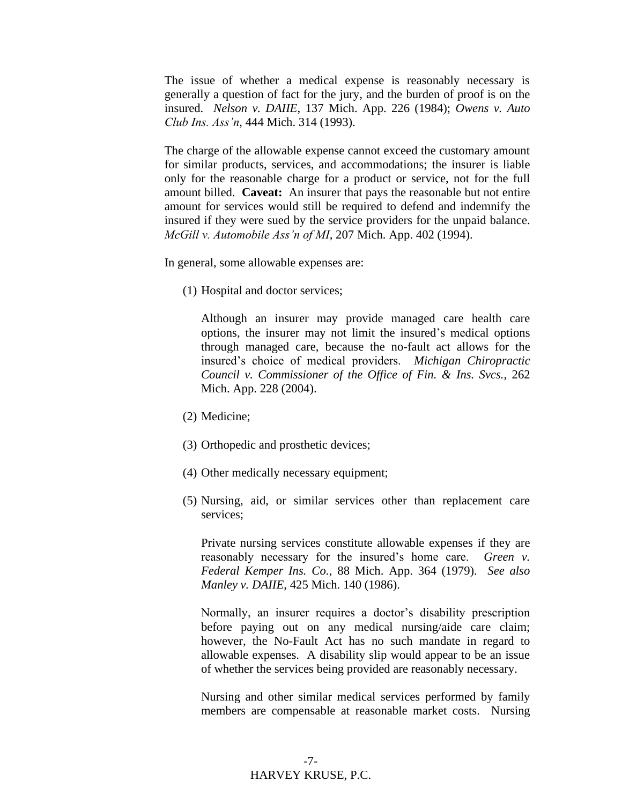The issue of whether a medical expense is reasonably necessary is generally a question of fact for the jury, and the burden of proof is on the insured. *Nelson v. DAIIE*, 137 Mich. App. 226 (1984); *Owens v. Auto Club Ins. Ass'n*, 444 Mich. 314 (1993).

The charge of the allowable expense cannot exceed the customary amount for similar products, services, and accommodations; the insurer is liable only for the reasonable charge for a product or service, not for the full amount billed. **Caveat:** An insurer that pays the reasonable but not entire amount for services would still be required to defend and indemnify the insured if they were sued by the service providers for the unpaid balance. *McGill v. Automobile Ass'n of MI*, 207 Mich. App. 402 (1994).

In general, some allowable expenses are:

(1) Hospital and doctor services;

Although an insurer may provide managed care health care options, the insurer may not limit the insured's medical options through managed care, because the no-fault act allows for the insured's choice of medical providers. *Michigan Chiropractic Council v. Commissioner of the Office of Fin. & Ins. Svcs.*, 262 Mich. App. 228 (2004).

- (2) Medicine;
- (3) Orthopedic and prosthetic devices;
- (4) Other medically necessary equipment;
- (5) Nursing, aid, or similar services other than replacement care services;

Private nursing services constitute allowable expenses if they are reasonably necessary for the insured's home care. *Green v. Federal Kemper Ins. Co.*, 88 Mich. App. 364 (1979). *See also Manley v. DAIIE*, 425 Mich. 140 (1986).

Normally, an insurer requires a doctor's disability prescription before paying out on any medical nursing/aide care claim; however, the No-Fault Act has no such mandate in regard to allowable expenses. A disability slip would appear to be an issue of whether the services being provided are reasonably necessary.

Nursing and other similar medical services performed by family members are compensable at reasonable market costs. Nursing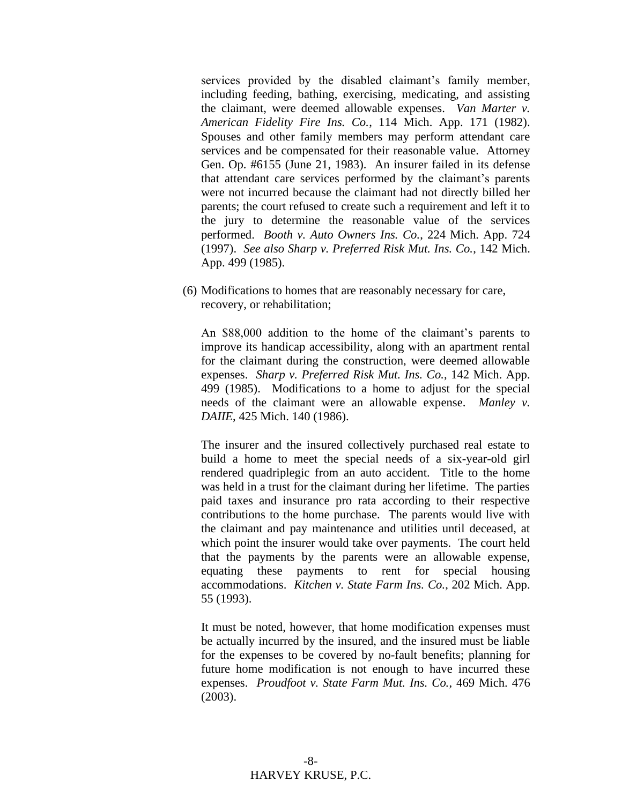services provided by the disabled claimant's family member, including feeding, bathing, exercising, medicating, and assisting the claimant, were deemed allowable expenses. *Van Marter v. American Fidelity Fire Ins. Co.*, 114 Mich. App. 171 (1982). Spouses and other family members may perform attendant care services and be compensated for their reasonable value. Attorney Gen. Op. #6155 (June 21, 1983). An insurer failed in its defense that attendant care services performed by the claimant's parents were not incurred because the claimant had not directly billed her parents; the court refused to create such a requirement and left it to the jury to determine the reasonable value of the services performed. *Booth v. Auto Owners Ins. Co.*, 224 Mich. App. 724 (1997). *See also Sharp v. Preferred Risk Mut. Ins. Co.*, 142 Mich. App. 499 (1985).

(6) Modifications to homes that are reasonably necessary for care, recovery, or rehabilitation;

An \$88,000 addition to the home of the claimant's parents to improve its handicap accessibility, along with an apartment rental for the claimant during the construction, were deemed allowable expenses. *Sharp v. Preferred Risk Mut. Ins. Co.*, 142 Mich. App. 499 (1985). Modifications to a home to adjust for the special needs of the claimant were an allowable expense. *Manley v. DAIIE*, 425 Mich. 140 (1986).

The insurer and the insured collectively purchased real estate to build a home to meet the special needs of a six-year-old girl rendered quadriplegic from an auto accident. Title to the home was held in a trust for the claimant during her lifetime. The parties paid taxes and insurance pro rata according to their respective contributions to the home purchase. The parents would live with the claimant and pay maintenance and utilities until deceased, at which point the insurer would take over payments. The court held that the payments by the parents were an allowable expense, equating these payments to rent for special housing accommodations. *Kitchen v. State Farm Ins. Co.*, 202 Mich. App. 55 (1993).

It must be noted, however, that home modification expenses must be actually incurred by the insured, and the insured must be liable for the expenses to be covered by no-fault benefits; planning for future home modification is not enough to have incurred these expenses. *Proudfoot v. State Farm Mut. Ins. Co.*, 469 Mich. 476 (2003).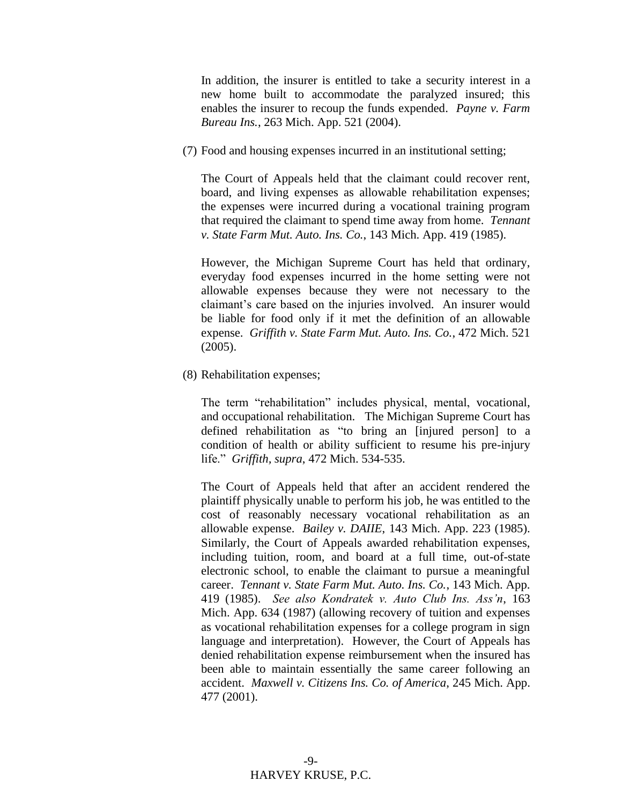In addition, the insurer is entitled to take a security interest in a new home built to accommodate the paralyzed insured; this enables the insurer to recoup the funds expended. *Payne v. Farm Bureau Ins.*, 263 Mich. App. 521 (2004).

(7) Food and housing expenses incurred in an institutional setting;

The Court of Appeals held that the claimant could recover rent, board, and living expenses as allowable rehabilitation expenses; the expenses were incurred during a vocational training program that required the claimant to spend time away from home. *Tennant v. State Farm Mut. Auto. Ins. Co.*, 143 Mich. App. 419 (1985).

However, the Michigan Supreme Court has held that ordinary, everyday food expenses incurred in the home setting were not allowable expenses because they were not necessary to the claimant's care based on the injuries involved. An insurer would be liable for food only if it met the definition of an allowable expense. *Griffith v. State Farm Mut. Auto. Ins. Co.*, 472 Mich. 521 (2005).

(8) Rehabilitation expenses;

The term "rehabilitation" includes physical, mental, vocational, and occupational rehabilitation. The Michigan Supreme Court has defined rehabilitation as "to bring an [injured person] to a condition of health or ability sufficient to resume his pre-injury life." *Griffith, supra*, 472 Mich. 534-535.

The Court of Appeals held that after an accident rendered the plaintiff physically unable to perform his job, he was entitled to the cost of reasonably necessary vocational rehabilitation as an allowable expense. *Bailey v. DAIIE*, 143 Mich. App. 223 (1985). Similarly, the Court of Appeals awarded rehabilitation expenses, including tuition, room, and board at a full time, out-of-state electronic school, to enable the claimant to pursue a meaningful career. *Tennant v. State Farm Mut. Auto. Ins. Co.*, 143 Mich. App. 419 (1985). *See also Kondratek v. Auto Club Ins. Ass'n*, 163 Mich. App. 634 (1987) (allowing recovery of tuition and expenses as vocational rehabilitation expenses for a college program in sign language and interpretation). However, the Court of Appeals has denied rehabilitation expense reimbursement when the insured has been able to maintain essentially the same career following an accident. *Maxwell v. Citizens Ins. Co. of America*, 245 Mich. App. 477 (2001).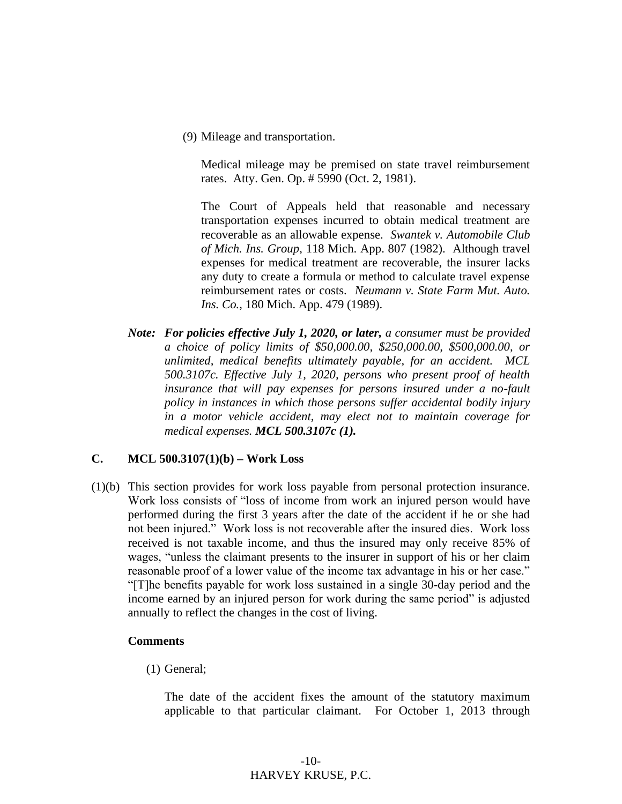(9) Mileage and transportation.

Medical mileage may be premised on state travel reimbursement rates. Atty. Gen. Op. # 5990 (Oct. 2, 1981).

The Court of Appeals held that reasonable and necessary transportation expenses incurred to obtain medical treatment are recoverable as an allowable expense. *Swantek v. Automobile Club of Mich. Ins. Group*, 118 Mich. App. 807 (1982). Although travel expenses for medical treatment are recoverable, the insurer lacks any duty to create a formula or method to calculate travel expense reimbursement rates or costs. *Neumann v. State Farm Mut. Auto. Ins. Co.*, 180 Mich. App. 479 (1989).

*Note: For policies effective July 1, 2020, or later, a consumer must be provided a choice of policy limits of \$50,000.00, \$250,000.00, \$500,000.00, or unlimited, medical benefits ultimately payable, for an accident. MCL 500.3107c. Effective July 1, 2020, persons who present proof of health insurance that will pay expenses for persons insured under a no-fault policy in instances in which those persons suffer accidental bodily injury in a motor vehicle accident, may elect not to maintain coverage for medical expenses. MCL 500.3107c (1).*

#### **C. MCL 500.3107(1)(b) – Work Loss**

(1)(b) This section provides for work loss payable from personal protection insurance. Work loss consists of "loss of income from work an injured person would have performed during the first 3 years after the date of the accident if he or she had not been injured." Work loss is not recoverable after the insured dies. Work loss received is not taxable income, and thus the insured may only receive 85% of wages, "unless the claimant presents to the insurer in support of his or her claim reasonable proof of a lower value of the income tax advantage in his or her case." "[T]he benefits payable for work loss sustained in a single 30-day period and the income earned by an injured person for work during the same period" is adjusted annually to reflect the changes in the cost of living.

#### **Comments**

(1) General;

The date of the accident fixes the amount of the statutory maximum applicable to that particular claimant. For October 1, 2013 through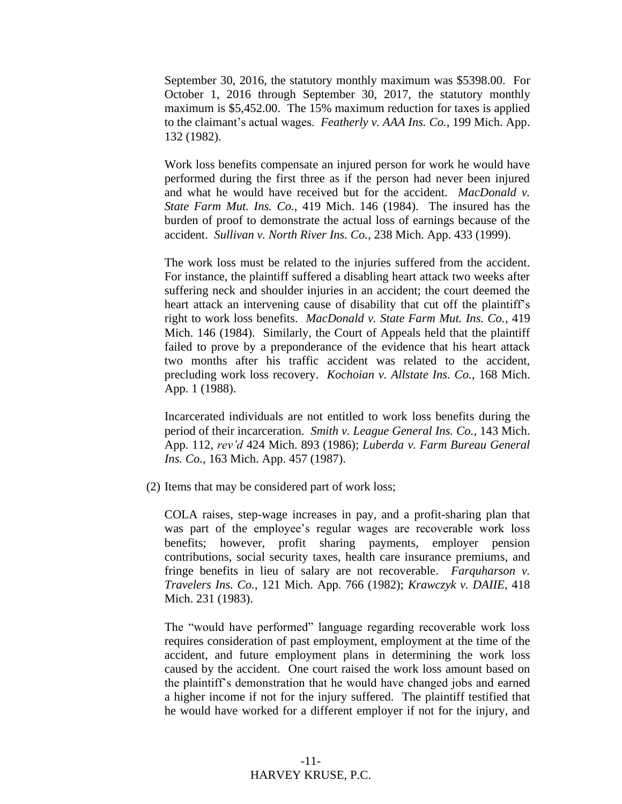September 30, 2016, the statutory monthly maximum was \$5398.00. For October 1, 2016 through September 30, 2017, the statutory monthly maximum is \$5,452.00. The 15% maximum reduction for taxes is applied to the claimant's actual wages. *Featherly v. AAA Ins. Co.*, 199 Mich. App. 132 (1982).

Work loss benefits compensate an injured person for work he would have performed during the first three as if the person had never been injured and what he would have received but for the accident. *MacDonald v. State Farm Mut. Ins. Co.*, 419 Mich. 146 (1984). The insured has the burden of proof to demonstrate the actual loss of earnings because of the accident. *Sullivan v. North River Ins. Co.*, 238 Mich. App. 433 (1999).

The work loss must be related to the injuries suffered from the accident. For instance, the plaintiff suffered a disabling heart attack two weeks after suffering neck and shoulder injuries in an accident; the court deemed the heart attack an intervening cause of disability that cut off the plaintiff's right to work loss benefits. *MacDonald v. State Farm Mut. Ins. Co.*, 419 Mich. 146 (1984). Similarly, the Court of Appeals held that the plaintiff failed to prove by a preponderance of the evidence that his heart attack two months after his traffic accident was related to the accident, precluding work loss recovery. *Kochoian v. Allstate Ins. Co.*, 168 Mich. App. 1 (1988).

Incarcerated individuals are not entitled to work loss benefits during the period of their incarceration. *Smith v. League General Ins. Co.*, 143 Mich. App. 112, *rev'd* 424 Mich. 893 (1986); *Luberda v. Farm Bureau General Ins. Co.*, 163 Mich. App. 457 (1987).

(2) Items that may be considered part of work loss;

COLA raises, step-wage increases in pay, and a profit-sharing plan that was part of the employee's regular wages are recoverable work loss benefits; however, profit sharing payments, employer pension contributions, social security taxes, health care insurance premiums, and fringe benefits in lieu of salary are not recoverable. *Farquharson v. Travelers Ins. Co.*, 121 Mich. App. 766 (1982); *Krawczyk v. DAIIE*, 418 Mich. 231 (1983).

The "would have performed" language regarding recoverable work loss requires consideration of past employment, employment at the time of the accident, and future employment plans in determining the work loss caused by the accident. One court raised the work loss amount based on the plaintiff's demonstration that he would have changed jobs and earned a higher income if not for the injury suffered. The plaintiff testified that he would have worked for a different employer if not for the injury, and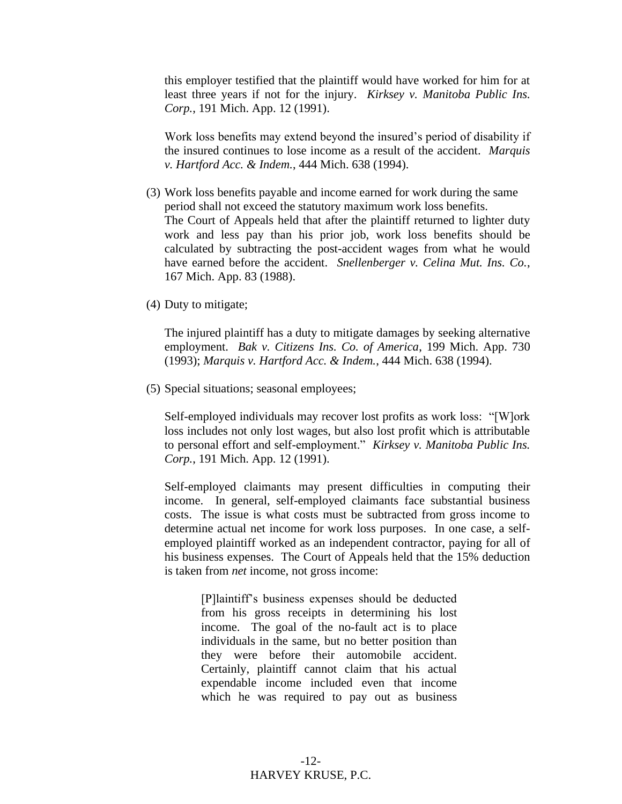this employer testified that the plaintiff would have worked for him for at least three years if not for the injury. *Kirksey v. Manitoba Public Ins. Corp.*, 191 Mich. App. 12 (1991).

Work loss benefits may extend beyond the insured's period of disability if the insured continues to lose income as a result of the accident. *Marquis v. Hartford Acc. & Indem.*, 444 Mich. 638 (1994).

- (3) Work loss benefits payable and income earned for work during the same period shall not exceed the statutory maximum work loss benefits. The Court of Appeals held that after the plaintiff returned to lighter duty work and less pay than his prior job, work loss benefits should be calculated by subtracting the post-accident wages from what he would have earned before the accident. *Snellenberger v. Celina Mut. Ins. Co.*, 167 Mich. App. 83 (1988).
- (4) Duty to mitigate;

The injured plaintiff has a duty to mitigate damages by seeking alternative employment. *Bak v. Citizens Ins. Co. of America*, 199 Mich. App. 730 (1993); *Marquis v. Hartford Acc. & Indem.*, 444 Mich. 638 (1994).

(5) Special situations; seasonal employees;

Self-employed individuals may recover lost profits as work loss: "[W]ork loss includes not only lost wages, but also lost profit which is attributable to personal effort and self-employment." *Kirksey v. Manitoba Public Ins. Corp.*, 191 Mich. App. 12 (1991).

Self-employed claimants may present difficulties in computing their income. In general, self-employed claimants face substantial business costs. The issue is what costs must be subtracted from gross income to determine actual net income for work loss purposes. In one case, a selfemployed plaintiff worked as an independent contractor, paying for all of his business expenses. The Court of Appeals held that the 15% deduction is taken from *net* income, not gross income:

> [P]laintiff's business expenses should be deducted from his gross receipts in determining his lost income. The goal of the no-fault act is to place individuals in the same, but no better position than they were before their automobile accident. Certainly, plaintiff cannot claim that his actual expendable income included even that income which he was required to pay out as business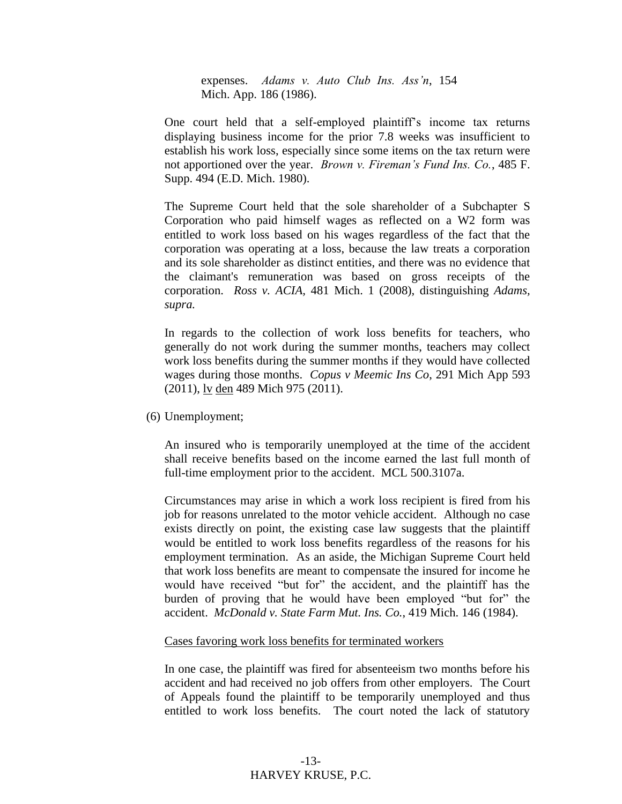expenses. *Adams v. Auto Club Ins. Ass'n*, 154 Mich. App. 186 (1986).

One court held that a self-employed plaintiff's income tax returns displaying business income for the prior 7.8 weeks was insufficient to establish his work loss, especially since some items on the tax return were not apportioned over the year. *Brown v. Fireman's Fund Ins. Co.*, 485 F. Supp. 494 (E.D. Mich. 1980).

The Supreme Court held that the sole shareholder of a Subchapter S Corporation who paid himself wages as reflected on a W2 form was entitled to work loss based on his wages regardless of the fact that the corporation was operating at a loss, because the law treats a corporation and its sole shareholder as distinct entities, and there was no evidence that the claimant's remuneration was based on gross receipts of the corporation. *Ross v. ACIA,* 481 Mich. 1 (2008), distinguishing *Adams, supra.*

In regards to the collection of work loss benefits for teachers, who generally do not work during the summer months, teachers may collect work loss benefits during the summer months if they would have collected wages during those months. *Copus v Meemic Ins Co*, 291 Mich App 593 (2011), lv den 489 Mich 975 (2011).

(6) Unemployment;

An insured who is temporarily unemployed at the time of the accident shall receive benefits based on the income earned the last full month of full-time employment prior to the accident. MCL 500.3107a.

Circumstances may arise in which a work loss recipient is fired from his job for reasons unrelated to the motor vehicle accident. Although no case exists directly on point, the existing case law suggests that the plaintiff would be entitled to work loss benefits regardless of the reasons for his employment termination. As an aside, the Michigan Supreme Court held that work loss benefits are meant to compensate the insured for income he would have received "but for" the accident, and the plaintiff has the burden of proving that he would have been employed "but for" the accident. *McDonald v. State Farm Mut. Ins. Co.*, 419 Mich. 146 (1984).

#### Cases favoring work loss benefits for terminated workers

In one case, the plaintiff was fired for absenteeism two months before his accident and had received no job offers from other employers. The Court of Appeals found the plaintiff to be temporarily unemployed and thus entitled to work loss benefits. The court noted the lack of statutory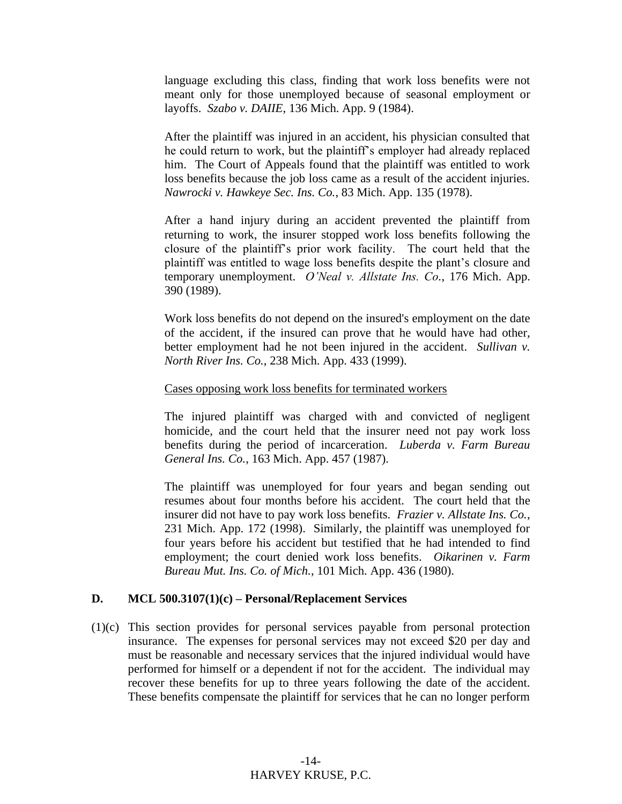language excluding this class, finding that work loss benefits were not meant only for those unemployed because of seasonal employment or layoffs. *Szabo v. DAIIE*, 136 Mich. App. 9 (1984).

After the plaintiff was injured in an accident, his physician consulted that he could return to work, but the plaintiff's employer had already replaced him. The Court of Appeals found that the plaintiff was entitled to work loss benefits because the job loss came as a result of the accident injuries. *Nawrocki v. Hawkeye Sec. Ins. Co.*, 83 Mich. App. 135 (1978).

After a hand injury during an accident prevented the plaintiff from returning to work, the insurer stopped work loss benefits following the closure of the plaintiff's prior work facility. The court held that the plaintiff was entitled to wage loss benefits despite the plant's closure and temporary unemployment. *O'Neal v. Allstate Ins. Co.*, 176 Mich. App. 390 (1989).

Work loss benefits do not depend on the insured's employment on the date of the accident, if the insured can prove that he would have had other, better employment had he not been injured in the accident. *Sullivan v. North River Ins. Co.*, 238 Mich. App. 433 (1999).

#### Cases opposing work loss benefits for terminated workers

The injured plaintiff was charged with and convicted of negligent homicide, and the court held that the insurer need not pay work loss benefits during the period of incarceration. *Luberda v. Farm Bureau General Ins. Co.*, 163 Mich. App. 457 (1987).

The plaintiff was unemployed for four years and began sending out resumes about four months before his accident. The court held that the insurer did not have to pay work loss benefits. *Frazier v. Allstate Ins. Co.*, 231 Mich. App. 172 (1998). Similarly, the plaintiff was unemployed for four years before his accident but testified that he had intended to find employment; the court denied work loss benefits. *Oikarinen v. Farm Bureau Mut. Ins. Co. of Mich.*, 101 Mich. App. 436 (1980).

#### **D. MCL 500.3107(1)(c) – Personal/Replacement Services**

(1)(c) This section provides for personal services payable from personal protection insurance. The expenses for personal services may not exceed \$20 per day and must be reasonable and necessary services that the injured individual would have performed for himself or a dependent if not for the accident. The individual may recover these benefits for up to three years following the date of the accident. These benefits compensate the plaintiff for services that he can no longer perform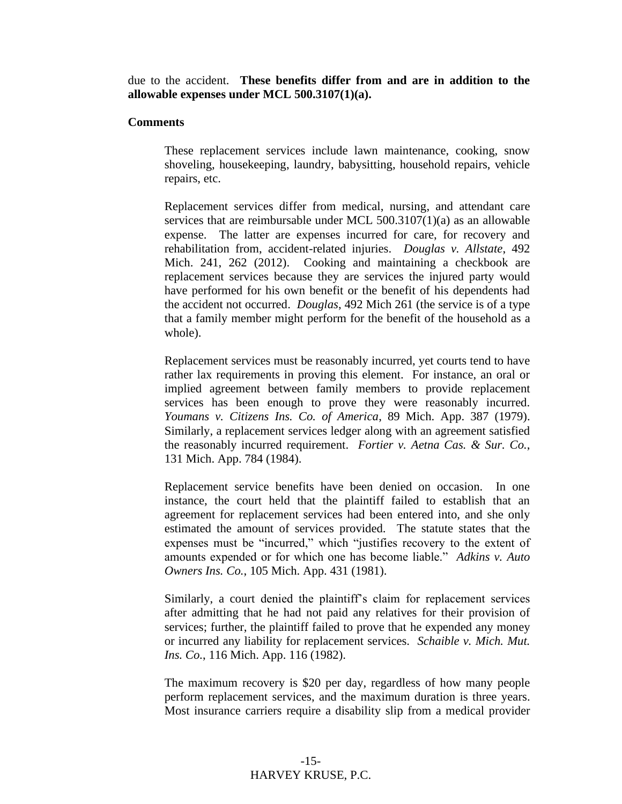due to the accident. **These benefits differ from and are in addition to the allowable expenses under MCL 500.3107(1)(a).**

#### **Comments**

These replacement services include lawn maintenance, cooking, snow shoveling, housekeeping, laundry, babysitting, household repairs, vehicle repairs, etc.

Replacement services differ from medical, nursing, and attendant care services that are reimbursable under MCL 500.3107(1)(a) as an allowable expense. The latter are expenses incurred for care, for recovery and rehabilitation from, accident-related injuries. *Douglas v. Allstate*, 492 Mich. 241, 262 (2012). Cooking and maintaining a checkbook are replacement services because they are services the injured party would have performed for his own benefit or the benefit of his dependents had the accident not occurred. *Douglas*, 492 Mich 261 (the service is of a type that a family member might perform for the benefit of the household as a whole).

Replacement services must be reasonably incurred, yet courts tend to have rather lax requirements in proving this element. For instance, an oral or implied agreement between family members to provide replacement services has been enough to prove they were reasonably incurred. *Youmans v. Citizens Ins. Co. of America*, 89 Mich. App. 387 (1979). Similarly, a replacement services ledger along with an agreement satisfied the reasonably incurred requirement. *Fortier v. Aetna Cas. & Sur. Co.*, 131 Mich. App. 784 (1984).

Replacement service benefits have been denied on occasion. In one instance, the court held that the plaintiff failed to establish that an agreement for replacement services had been entered into, and she only estimated the amount of services provided. The statute states that the expenses must be "incurred," which "justifies recovery to the extent of amounts expended or for which one has become liable." *Adkins v. Auto Owners Ins. Co.*, 105 Mich. App. 431 (1981).

Similarly, a court denied the plaintiff's claim for replacement services after admitting that he had not paid any relatives for their provision of services; further, the plaintiff failed to prove that he expended any money or incurred any liability for replacement services. *Schaible v. Mich. Mut. Ins. Co.*, 116 Mich. App. 116 (1982).

The maximum recovery is \$20 per day, regardless of how many people perform replacement services, and the maximum duration is three years. Most insurance carriers require a disability slip from a medical provider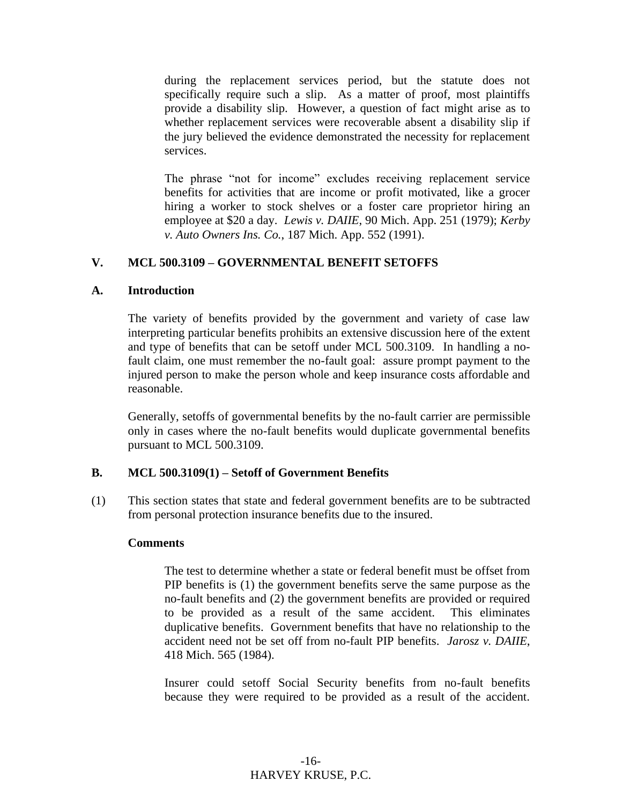during the replacement services period, but the statute does not specifically require such a slip. As a matter of proof, most plaintiffs provide a disability slip. However, a question of fact might arise as to whether replacement services were recoverable absent a disability slip if the jury believed the evidence demonstrated the necessity for replacement services.

The phrase "not for income" excludes receiving replacement service benefits for activities that are income or profit motivated, like a grocer hiring a worker to stock shelves or a foster care proprietor hiring an employee at \$20 a day. *Lewis v. DAIIE*, 90 Mich. App. 251 (1979); *Kerby v. Auto Owners Ins. Co.*, 187 Mich. App. 552 (1991).

#### **V. MCL 500.3109 – GOVERNMENTAL BENEFIT SETOFFS**

#### **A. Introduction**

The variety of benefits provided by the government and variety of case law interpreting particular benefits prohibits an extensive discussion here of the extent and type of benefits that can be setoff under MCL 500.3109. In handling a nofault claim, one must remember the no-fault goal: assure prompt payment to the injured person to make the person whole and keep insurance costs affordable and reasonable.

Generally, setoffs of governmental benefits by the no-fault carrier are permissible only in cases where the no-fault benefits would duplicate governmental benefits pursuant to MCL 500.3109.

#### **B. MCL 500.3109(1) – Setoff of Government Benefits**

(1) This section states that state and federal government benefits are to be subtracted from personal protection insurance benefits due to the insured.

#### **Comments**

The test to determine whether a state or federal benefit must be offset from PIP benefits is (1) the government benefits serve the same purpose as the no-fault benefits and (2) the government benefits are provided or required to be provided as a result of the same accident. This eliminates duplicative benefits. Government benefits that have no relationship to the accident need not be set off from no-fault PIP benefits. *Jarosz v. DAIIE*, 418 Mich. 565 (1984).

Insurer could setoff Social Security benefits from no-fault benefits because they were required to be provided as a result of the accident.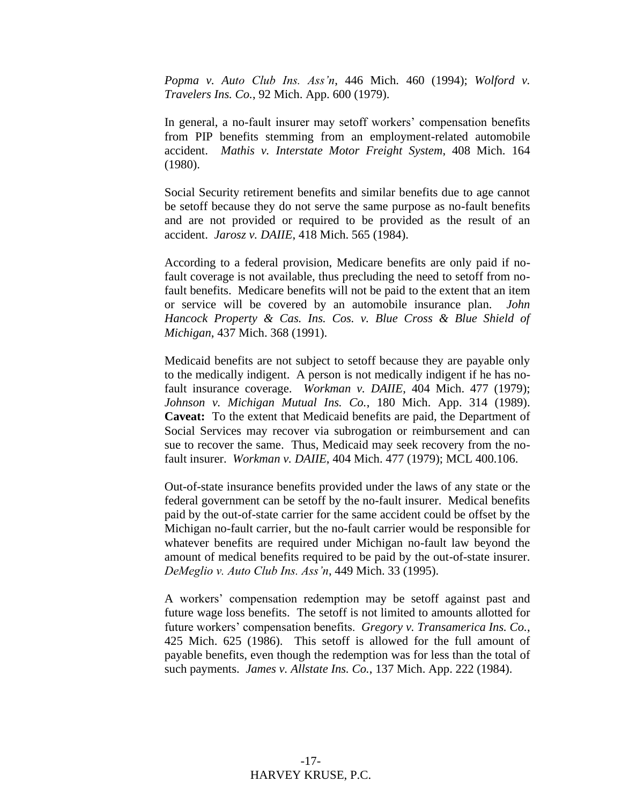*Popma v. Auto Club Ins. Ass'n*, 446 Mich. 460 (1994); *Wolford v. Travelers Ins. Co.*, 92 Mich. App. 600 (1979).

In general, a no-fault insurer may setoff workers' compensation benefits from PIP benefits stemming from an employment-related automobile accident. *Mathis v. Interstate Motor Freight System*, 408 Mich. 164 (1980).

Social Security retirement benefits and similar benefits due to age cannot be setoff because they do not serve the same purpose as no-fault benefits and are not provided or required to be provided as the result of an accident. *Jarosz v. DAIIE*, 418 Mich. 565 (1984).

According to a federal provision, Medicare benefits are only paid if nofault coverage is not available, thus precluding the need to setoff from nofault benefits. Medicare benefits will not be paid to the extent that an item or service will be covered by an automobile insurance plan. *John Hancock Property & Cas. Ins. Cos. v. Blue Cross & Blue Shield of Michigan*, 437 Mich. 368 (1991).

Medicaid benefits are not subject to setoff because they are payable only to the medically indigent. A person is not medically indigent if he has nofault insurance coverage. *Workman v. DAIIE*, 404 Mich. 477 (1979); *Johnson v. Michigan Mutual Ins. Co.*, 180 Mich. App. 314 (1989). **Caveat:** To the extent that Medicaid benefits are paid, the Department of Social Services may recover via subrogation or reimbursement and can sue to recover the same. Thus, Medicaid may seek recovery from the nofault insurer. *Workman v. DAIIE*, 404 Mich. 477 (1979); MCL 400.106.

Out-of-state insurance benefits provided under the laws of any state or the federal government can be setoff by the no-fault insurer. Medical benefits paid by the out-of-state carrier for the same accident could be offset by the Michigan no-fault carrier, but the no-fault carrier would be responsible for whatever benefits are required under Michigan no-fault law beyond the amount of medical benefits required to be paid by the out-of-state insurer. *DeMeglio v. Auto Club Ins. Ass'n*, 449 Mich. 33 (1995).

A workers' compensation redemption may be setoff against past and future wage loss benefits. The setoff is not limited to amounts allotted for future workers' compensation benefits. *Gregory v. Transamerica Ins. Co.*, 425 Mich. 625 (1986). This setoff is allowed for the full amount of payable benefits, even though the redemption was for less than the total of such payments. *James v. Allstate Ins. Co.*, 137 Mich. App. 222 (1984).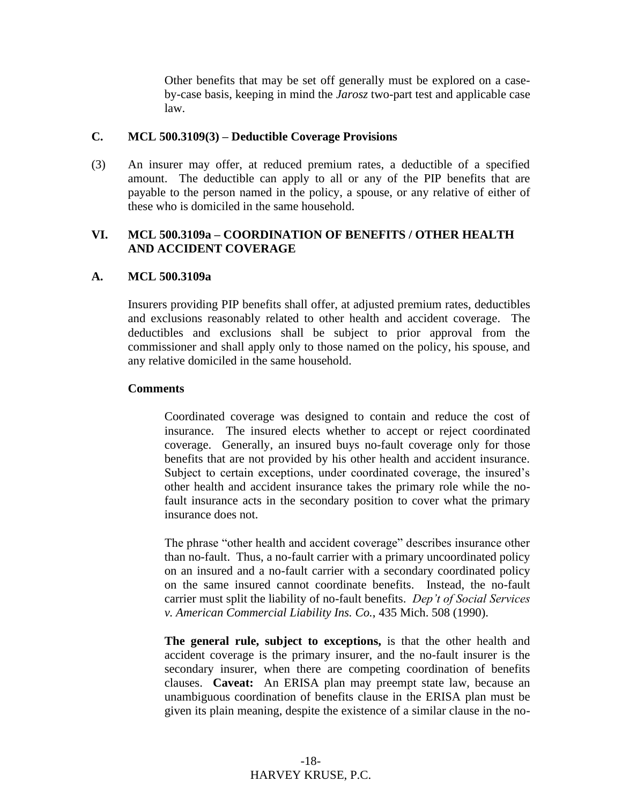Other benefits that may be set off generally must be explored on a caseby-case basis, keeping in mind the *Jarosz* two-part test and applicable case law.

#### **C. MCL 500.3109(3) – Deductible Coverage Provisions**

(3) An insurer may offer, at reduced premium rates, a deductible of a specified amount. The deductible can apply to all or any of the PIP benefits that are payable to the person named in the policy, a spouse, or any relative of either of these who is domiciled in the same household.

#### **VI. MCL 500.3109a – COORDINATION OF BENEFITS / OTHER HEALTH AND ACCIDENT COVERAGE**

#### **A. MCL 500.3109a**

Insurers providing PIP benefits shall offer, at adjusted premium rates, deductibles and exclusions reasonably related to other health and accident coverage. The deductibles and exclusions shall be subject to prior approval from the commissioner and shall apply only to those named on the policy, his spouse, and any relative domiciled in the same household.

#### **Comments**

Coordinated coverage was designed to contain and reduce the cost of insurance. The insured elects whether to accept or reject coordinated coverage. Generally, an insured buys no-fault coverage only for those benefits that are not provided by his other health and accident insurance. Subject to certain exceptions, under coordinated coverage, the insured's other health and accident insurance takes the primary role while the nofault insurance acts in the secondary position to cover what the primary insurance does not.

The phrase "other health and accident coverage" describes insurance other than no-fault. Thus, a no-fault carrier with a primary uncoordinated policy on an insured and a no-fault carrier with a secondary coordinated policy on the same insured cannot coordinate benefits. Instead, the no-fault carrier must split the liability of no-fault benefits. *Dep't of Social Services v. American Commercial Liability Ins. Co.*, 435 Mich. 508 (1990).

**The general rule, subject to exceptions,** is that the other health and accident coverage is the primary insurer, and the no-fault insurer is the secondary insurer, when there are competing coordination of benefits clauses. **Caveat:** An ERISA plan may preempt state law, because an unambiguous coordination of benefits clause in the ERISA plan must be given its plain meaning, despite the existence of a similar clause in the no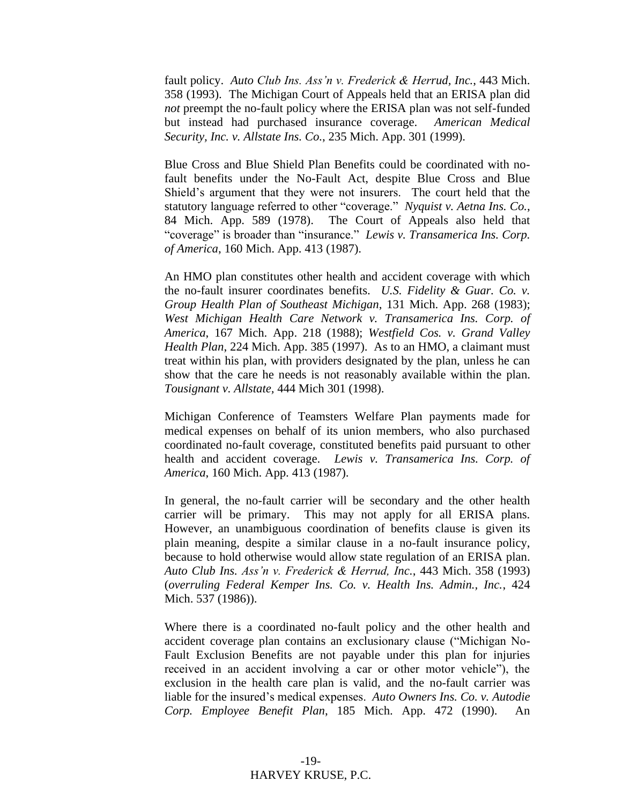fault policy. *Auto Club Ins. Ass'n v. Frederick & Herrud, Inc.*, 443 Mich. 358 (1993). The Michigan Court of Appeals held that an ERISA plan did *not* preempt the no-fault policy where the ERISA plan was not self-funded but instead had purchased insurance coverage. *American Medical Security, Inc. v. Allstate Ins. Co.*, 235 Mich. App. 301 (1999).

Blue Cross and Blue Shield Plan Benefits could be coordinated with nofault benefits under the No-Fault Act, despite Blue Cross and Blue Shield's argument that they were not insurers. The court held that the statutory language referred to other "coverage." *Nyquist v. Aetna Ins. Co.*, 84 Mich. App. 589 (1978). The Court of Appeals also held that "coverage" is broader than "insurance." *Lewis v. Transamerica Ins. Corp. of America*, 160 Mich. App. 413 (1987).

An HMO plan constitutes other health and accident coverage with which the no-fault insurer coordinates benefits. *U.S. Fidelity & Guar. Co. v. Group Health Plan of Southeast Michigan*, 131 Mich. App. 268 (1983); *West Michigan Health Care Network v. Transamerica Ins. Corp. of America*, 167 Mich. App. 218 (1988); *Westfield Cos. v. Grand Valley Health Plan*, 224 Mich. App. 385 (1997). As to an HMO, a claimant must treat within his plan, with providers designated by the plan, unless he can show that the care he needs is not reasonably available within the plan. *Tousignant v. Allstate,* 444 Mich 301 (1998).

Michigan Conference of Teamsters Welfare Plan payments made for medical expenses on behalf of its union members, who also purchased coordinated no-fault coverage, constituted benefits paid pursuant to other health and accident coverage. *Lewis v. Transamerica Ins. Corp. of America*, 160 Mich. App. 413 (1987).

In general, the no-fault carrier will be secondary and the other health carrier will be primary. This may not apply for all ERISA plans. However, an unambiguous coordination of benefits clause is given its plain meaning, despite a similar clause in a no-fault insurance policy, because to hold otherwise would allow state regulation of an ERISA plan. *Auto Club Ins. Ass'n v. Frederick & Herrud, Inc.*, 443 Mich. 358 (1993) (*overruling Federal Kemper Ins. Co. v. Health Ins. Admin., Inc.*, 424 Mich. 537 (1986)).

Where there is a coordinated no-fault policy and the other health and accident coverage plan contains an exclusionary clause ("Michigan No-Fault Exclusion Benefits are not payable under this plan for injuries received in an accident involving a car or other motor vehicle"), the exclusion in the health care plan is valid, and the no-fault carrier was liable for the insured's medical expenses. *Auto Owners Ins. Co. v. Autodie Corp. Employee Benefit Plan*, 185 Mich. App. 472 (1990). An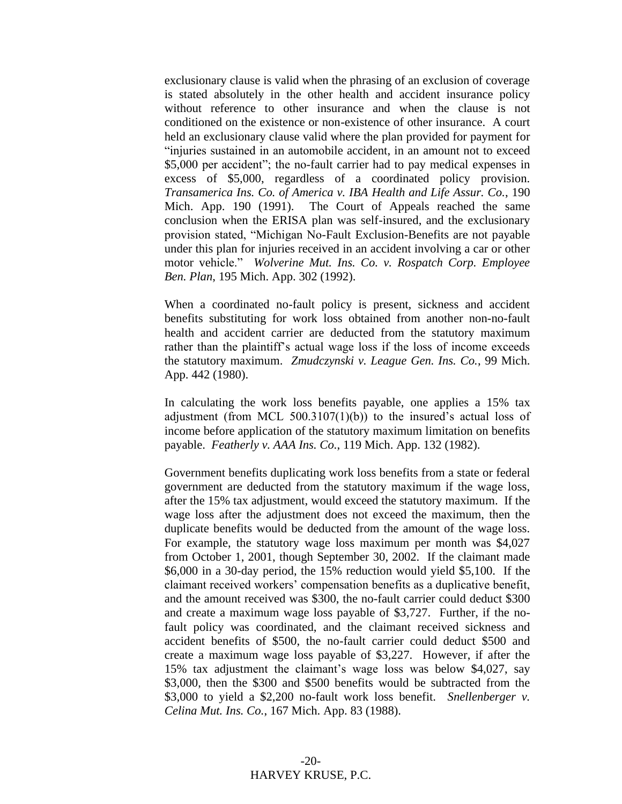exclusionary clause is valid when the phrasing of an exclusion of coverage is stated absolutely in the other health and accident insurance policy without reference to other insurance and when the clause is not conditioned on the existence or non-existence of other insurance. A court held an exclusionary clause valid where the plan provided for payment for "injuries sustained in an automobile accident, in an amount not to exceed \$5,000 per accident"; the no-fault carrier had to pay medical expenses in excess of \$5,000, regardless of a coordinated policy provision. *Transamerica Ins. Co. of America v. IBA Health and Life Assur. Co.*, 190 Mich. App. 190 (1991). The Court of Appeals reached the same conclusion when the ERISA plan was self-insured, and the exclusionary provision stated, "Michigan No-Fault Exclusion-Benefits are not payable under this plan for injuries received in an accident involving a car or other motor vehicle." *Wolverine Mut. Ins. Co. v. Rospatch Corp. Employee Ben. Plan*, 195 Mich. App. 302 (1992).

When a coordinated no-fault policy is present, sickness and accident benefits substituting for work loss obtained from another non-no-fault health and accident carrier are deducted from the statutory maximum rather than the plaintiff's actual wage loss if the loss of income exceeds the statutory maximum. *Zmudczynski v. League Gen. Ins. Co.*, 99 Mich. App. 442 (1980).

In calculating the work loss benefits payable, one applies a 15% tax adjustment (from MCL  $500.3107(1)(b)$ ) to the insured's actual loss of income before application of the statutory maximum limitation on benefits payable. *Featherly v. AAA Ins. Co.*, 119 Mich. App. 132 (1982).

Government benefits duplicating work loss benefits from a state or federal government are deducted from the statutory maximum if the wage loss, after the 15% tax adjustment, would exceed the statutory maximum. If the wage loss after the adjustment does not exceed the maximum, then the duplicate benefits would be deducted from the amount of the wage loss. For example, the statutory wage loss maximum per month was \$4,027 from October 1, 2001, though September 30, 2002. If the claimant made \$6,000 in a 30-day period, the 15% reduction would yield \$5,100. If the claimant received workers' compensation benefits as a duplicative benefit, and the amount received was \$300, the no-fault carrier could deduct \$300 and create a maximum wage loss payable of \$3,727. Further, if the nofault policy was coordinated, and the claimant received sickness and accident benefits of \$500, the no-fault carrier could deduct \$500 and create a maximum wage loss payable of \$3,227. However, if after the 15% tax adjustment the claimant's wage loss was below \$4,027, say \$3,000, then the \$300 and \$500 benefits would be subtracted from the \$3,000 to yield a \$2,200 no-fault work loss benefit. *Snellenberger v. Celina Mut. Ins. Co.*, 167 Mich. App. 83 (1988).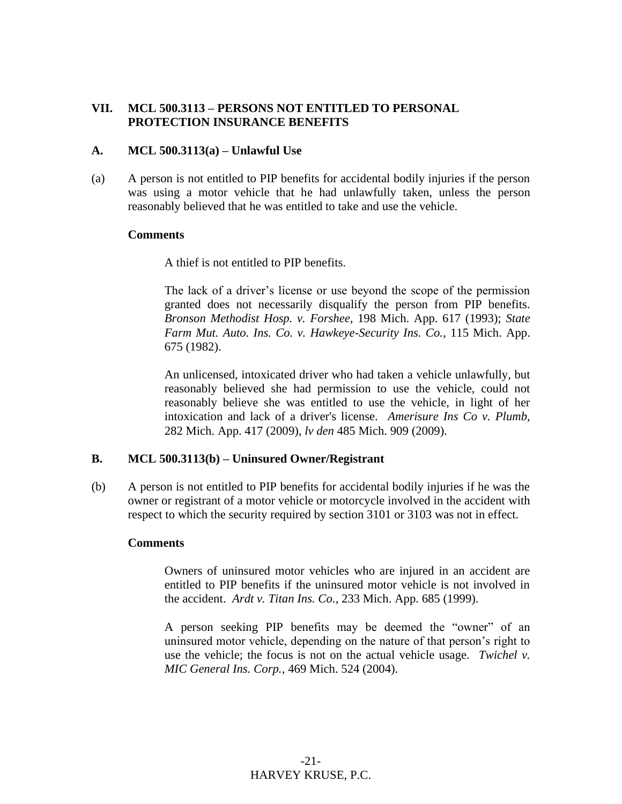#### **VII. MCL 500.3113 – PERSONS NOT ENTITLED TO PERSONAL PROTECTION INSURANCE BENEFITS**

#### **A. MCL 500.3113(a) – Unlawful Use**

(a) A person is not entitled to PIP benefits for accidental bodily injuries if the person was using a motor vehicle that he had unlawfully taken, unless the person reasonably believed that he was entitled to take and use the vehicle.

#### **Comments**

A thief is not entitled to PIP benefits.

The lack of a driver's license or use beyond the scope of the permission granted does not necessarily disqualify the person from PIP benefits. *Bronson Methodist Hosp. v. Forshee*, 198 Mich. App. 617 (1993); *State Farm Mut. Auto. Ins. Co. v. Hawkeye-Security Ins. Co.*, 115 Mich. App. 675 (1982).

An unlicensed, intoxicated driver who had taken a vehicle unlawfully, but reasonably believed she had permission to use the vehicle, could not reasonably believe she was entitled to use the vehicle, in light of her intoxication and lack of a driver's license. *Amerisure Ins Co v. Plumb,* 282 Mich. App. 417 (2009), *lv den* 485 Mich. 909 (2009).

#### **B. MCL 500.3113(b) – Uninsured Owner/Registrant**

(b) A person is not entitled to PIP benefits for accidental bodily injuries if he was the owner or registrant of a motor vehicle or motorcycle involved in the accident with respect to which the security required by section 3101 or 3103 was not in effect.

#### **Comments**

Owners of uninsured motor vehicles who are injured in an accident are entitled to PIP benefits if the uninsured motor vehicle is not involved in the accident. *Ardt v. Titan Ins. Co.*, 233 Mich. App. 685 (1999).

A person seeking PIP benefits may be deemed the "owner" of an uninsured motor vehicle, depending on the nature of that person's right to use the vehicle; the focus is not on the actual vehicle usage. *Twichel v. MIC General Ins. Corp.*, 469 Mich. 524 (2004).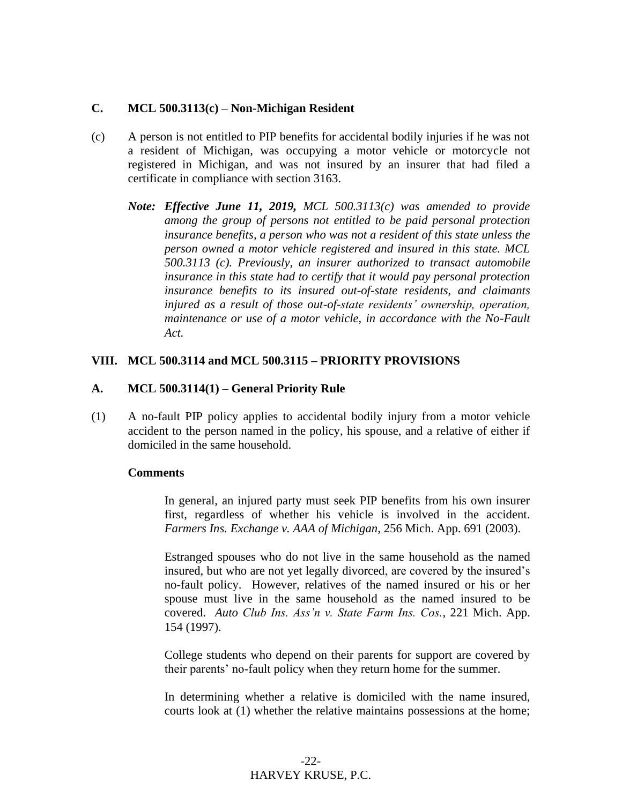#### **C. MCL 500.3113(c) – Non-Michigan Resident**

- (c) A person is not entitled to PIP benefits for accidental bodily injuries if he was not a resident of Michigan, was occupying a motor vehicle or motorcycle not registered in Michigan, and was not insured by an insurer that had filed a certificate in compliance with section 3163.
	- *Note: Effective June 11, 2019, MCL 500.3113(c) was amended to provide among the group of persons not entitled to be paid personal protection insurance benefits, a person who was not a resident of this state unless the person owned a motor vehicle registered and insured in this state. MCL 500.3113 (c). Previously, an insurer authorized to transact automobile insurance in this state had to certify that it would pay personal protection insurance benefits to its insured out-of-state residents, and claimants injured as a result of those out-of-state residents' ownership, operation, maintenance or use of a motor vehicle, in accordance with the No-Fault Act.*

#### **VIII. MCL 500.3114 and MCL 500.3115 – PRIORITY PROVISIONS**

#### **A. MCL 500.3114(1) – General Priority Rule**

(1) A no-fault PIP policy applies to accidental bodily injury from a motor vehicle accident to the person named in the policy, his spouse, and a relative of either if domiciled in the same household.

#### **Comments**

In general, an injured party must seek PIP benefits from his own insurer first, regardless of whether his vehicle is involved in the accident. *Farmers Ins. Exchange v. AAA of Michigan*, 256 Mich. App. 691 (2003).

Estranged spouses who do not live in the same household as the named insured, but who are not yet legally divorced, are covered by the insured's no-fault policy. However, relatives of the named insured or his or her spouse must live in the same household as the named insured to be covered. *Auto Club Ins. Ass'n v. State Farm Ins. Cos.*, 221 Mich. App. 154 (1997).

College students who depend on their parents for support are covered by their parents' no-fault policy when they return home for the summer.

In determining whether a relative is domiciled with the name insured, courts look at (1) whether the relative maintains possessions at the home;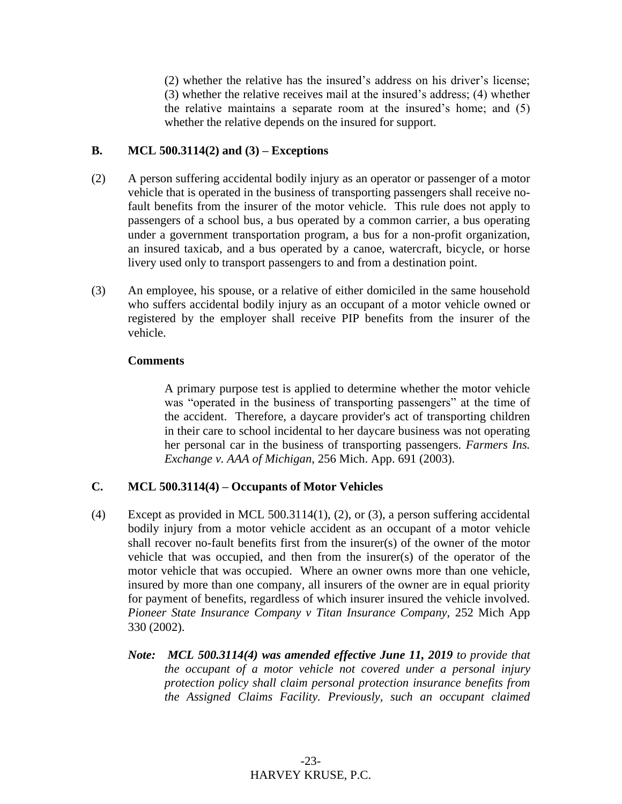(2) whether the relative has the insured's address on his driver's license; (3) whether the relative receives mail at the insured's address; (4) whether the relative maintains a separate room at the insured's home; and (5) whether the relative depends on the insured for support.

#### **B. MCL 500.3114(2) and (3) – Exceptions**

- (2) A person suffering accidental bodily injury as an operator or passenger of a motor vehicle that is operated in the business of transporting passengers shall receive nofault benefits from the insurer of the motor vehicle. This rule does not apply to passengers of a school bus, a bus operated by a common carrier, a bus operating under a government transportation program, a bus for a non-profit organization, an insured taxicab, and a bus operated by a canoe, watercraft, bicycle, or horse livery used only to transport passengers to and from a destination point.
- (3) An employee, his spouse, or a relative of either domiciled in the same household who suffers accidental bodily injury as an occupant of a motor vehicle owned or registered by the employer shall receive PIP benefits from the insurer of the vehicle.

#### **Comments**

A primary purpose test is applied to determine whether the motor vehicle was "operated in the business of transporting passengers" at the time of the accident. Therefore, a daycare provider's act of transporting children in their care to school incidental to her daycare business was not operating her personal car in the business of transporting passengers. *Farmers Ins. Exchange v. AAA of Michigan*, 256 Mich. App. 691 (2003).

#### **C. MCL 500.3114(4) – Occupants of Motor Vehicles**

- (4) Except as provided in MCL 500.3114(1), (2), or (3), a person suffering accidental bodily injury from a motor vehicle accident as an occupant of a motor vehicle shall recover no-fault benefits first from the insurer(s) of the owner of the motor vehicle that was occupied, and then from the insurer(s) of the operator of the motor vehicle that was occupied. Where an owner owns more than one vehicle, insured by more than one company, all insurers of the owner are in equal priority for payment of benefits, regardless of which insurer insured the vehicle involved. *Pioneer State Insurance Company v Titan Insurance Company,* 252 Mich App 330 (2002).
	- *Note: MCL 500.3114(4) was amended effective June 11, 2019 to provide that the occupant of a motor vehicle not covered under a personal injury protection policy shall claim personal protection insurance benefits from the Assigned Claims Facility. Previously, such an occupant claimed*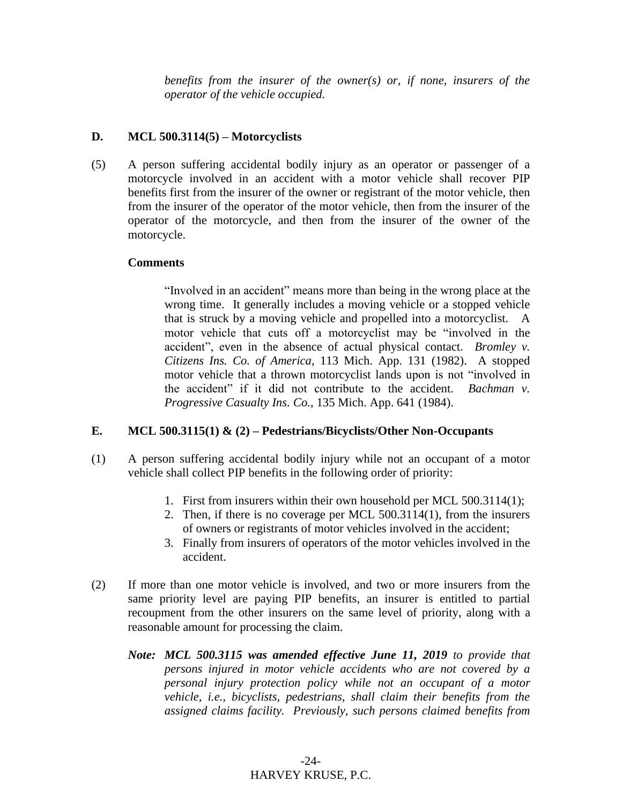*benefits from the insurer of the owner(s) or, if none, insurers of the operator of the vehicle occupied.* 

#### **D. MCL 500.3114(5) – Motorcyclists**

(5) A person suffering accidental bodily injury as an operator or passenger of a motorcycle involved in an accident with a motor vehicle shall recover PIP benefits first from the insurer of the owner or registrant of the motor vehicle, then from the insurer of the operator of the motor vehicle, then from the insurer of the operator of the motorcycle, and then from the insurer of the owner of the motorcycle.

#### **Comments**

"Involved in an accident" means more than being in the wrong place at the wrong time. It generally includes a moving vehicle or a stopped vehicle that is struck by a moving vehicle and propelled into a motorcyclist. A motor vehicle that cuts off a motorcyclist may be "involved in the accident", even in the absence of actual physical contact. *Bromley v. Citizens Ins. Co. of America*, 113 Mich. App. 131 (1982). A stopped motor vehicle that a thrown motorcyclist lands upon is not "involved in the accident" if it did not contribute to the accident. *Bachman v. Progressive Casualty Ins. Co.*, 135 Mich. App. 641 (1984).

#### **E. MCL 500.3115(1) & (2) – Pedestrians/Bicyclists/Other Non-Occupants**

- (1) A person suffering accidental bodily injury while not an occupant of a motor vehicle shall collect PIP benefits in the following order of priority:
	- 1. First from insurers within their own household per MCL 500.3114(1);
	- 2. Then, if there is no coverage per MCL 500.3114(1), from the insurers of owners or registrants of motor vehicles involved in the accident;
	- 3. Finally from insurers of operators of the motor vehicles involved in the accident.
- (2) If more than one motor vehicle is involved, and two or more insurers from the same priority level are paying PIP benefits, an insurer is entitled to partial recoupment from the other insurers on the same level of priority, along with a reasonable amount for processing the claim.
	- *Note: MCL 500.3115 was amended effective June 11, 2019 to provide that persons injured in motor vehicle accidents who are not covered by a personal injury protection policy while not an occupant of a motor vehicle, i.e., bicyclists, pedestrians, shall claim their benefits from the assigned claims facility. Previously, such persons claimed benefits from*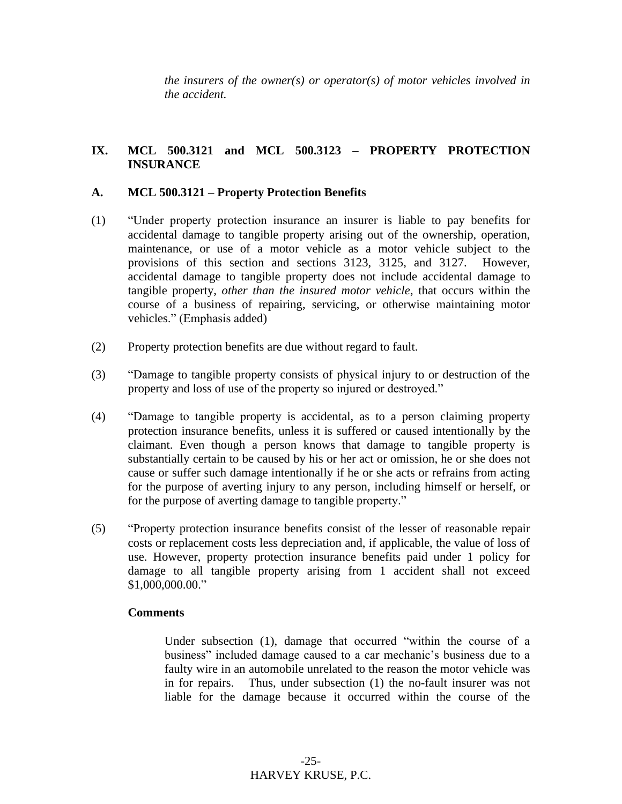*the insurers of the owner(s) or operator(s) of motor vehicles involved in the accident.*

#### **IX. MCL 500.3121 and MCL 500.3123 – PROPERTY PROTECTION INSURANCE**

#### **A. MCL 500.3121 – Property Protection Benefits**

- (1) "Under property protection insurance an insurer is liable to pay benefits for accidental damage to tangible property arising out of the ownership, operation, maintenance, or use of a motor vehicle as a motor vehicle subject to the provisions of this section and sections 3123, 3125, and 3127. However, accidental damage to tangible property does not include accidental damage to tangible property, *other than the insured motor vehicle*, that occurs within the course of a business of repairing, servicing, or otherwise maintaining motor vehicles." (Emphasis added)
- (2) Property protection benefits are due without regard to fault.
- (3) "Damage to tangible property consists of physical injury to or destruction of the property and loss of use of the property so injured or destroyed."
- (4) "Damage to tangible property is accidental, as to a person claiming property protection insurance benefits, unless it is suffered or caused intentionally by the claimant. Even though a person knows that damage to tangible property is substantially certain to be caused by his or her act or omission, he or she does not cause or suffer such damage intentionally if he or she acts or refrains from acting for the purpose of averting injury to any person, including himself or herself, or for the purpose of averting damage to tangible property."
- (5) "Property protection insurance benefits consist of the lesser of reasonable repair costs or replacement costs less depreciation and, if applicable, the value of loss of use. However, property protection insurance benefits paid under 1 policy for damage to all tangible property arising from 1 accident shall not exceed \$1,000,000.00."

#### **Comments**

Under subsection (1), damage that occurred "within the course of a business" included damage caused to a car mechanic's business due to a faulty wire in an automobile unrelated to the reason the motor vehicle was in for repairs. Thus, under subsection (1) the no-fault insurer was not liable for the damage because it occurred within the course of the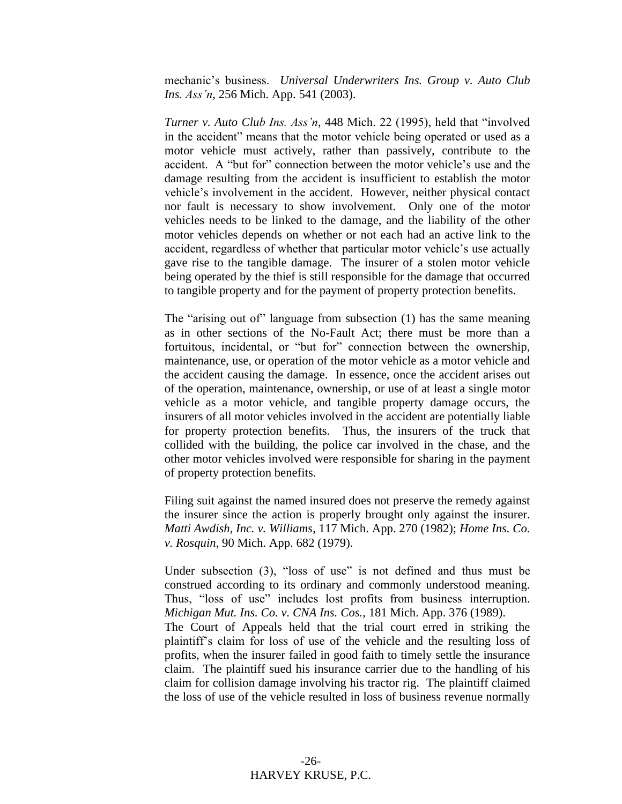mechanic's business. *Universal Underwriters Ins. Group v. Auto Club Ins. Ass'n*, 256 Mich. App. 541 (2003).

*Turner v. Auto Club Ins. Ass'n*, 448 Mich. 22 (1995), held that "involved in the accident" means that the motor vehicle being operated or used as a motor vehicle must actively, rather than passively, contribute to the accident. A "but for" connection between the motor vehicle's use and the damage resulting from the accident is insufficient to establish the motor vehicle's involvement in the accident. However, neither physical contact nor fault is necessary to show involvement. Only one of the motor vehicles needs to be linked to the damage, and the liability of the other motor vehicles depends on whether or not each had an active link to the accident, regardless of whether that particular motor vehicle's use actually gave rise to the tangible damage. The insurer of a stolen motor vehicle being operated by the thief is still responsible for the damage that occurred to tangible property and for the payment of property protection benefits.

The "arising out of" language from subsection (1) has the same meaning as in other sections of the No-Fault Act; there must be more than a fortuitous, incidental, or "but for" connection between the ownership, maintenance, use, or operation of the motor vehicle as a motor vehicle and the accident causing the damage. In essence, once the accident arises out of the operation, maintenance, ownership, or use of at least a single motor vehicle as a motor vehicle, and tangible property damage occurs, the insurers of all motor vehicles involved in the accident are potentially liable for property protection benefits. Thus, the insurers of the truck that collided with the building, the police car involved in the chase, and the other motor vehicles involved were responsible for sharing in the payment of property protection benefits.

Filing suit against the named insured does not preserve the remedy against the insurer since the action is properly brought only against the insurer. *Matti Awdish, Inc. v. Williams*, 117 Mich. App. 270 (1982); *Home Ins. Co. v. Rosquin*, 90 Mich. App. 682 (1979).

Under subsection (3), "loss of use" is not defined and thus must be construed according to its ordinary and commonly understood meaning. Thus, "loss of use" includes lost profits from business interruption. *Michigan Mut. Ins. Co. v. CNA Ins. Cos.*, 181 Mich. App. 376 (1989).

The Court of Appeals held that the trial court erred in striking the plaintiff's claim for loss of use of the vehicle and the resulting loss of profits, when the insurer failed in good faith to timely settle the insurance claim. The plaintiff sued his insurance carrier due to the handling of his claim for collision damage involving his tractor rig. The plaintiff claimed the loss of use of the vehicle resulted in loss of business revenue normally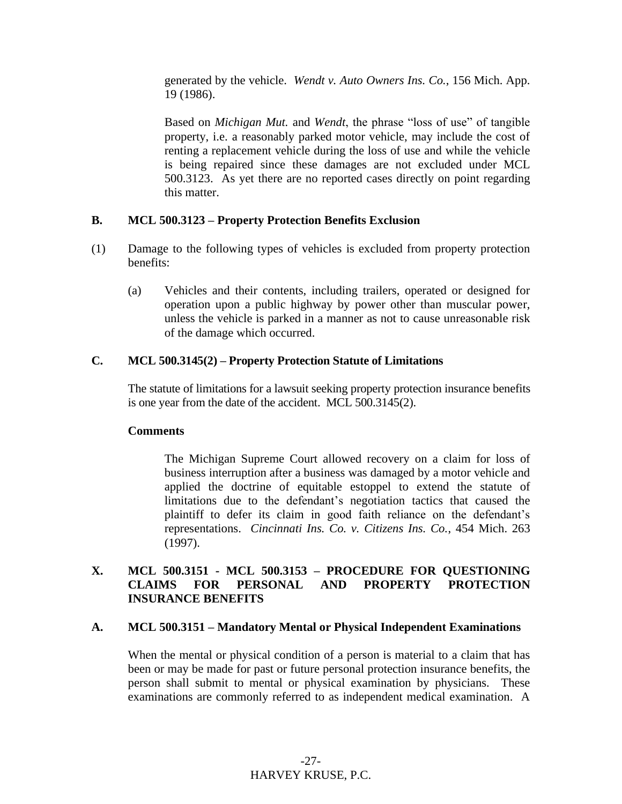generated by the vehicle. *Wendt v. Auto Owners Ins. Co.*, 156 Mich. App. 19 (1986).

Based on *Michigan Mut.* and *Wendt*, the phrase "loss of use" of tangible property, i.e. a reasonably parked motor vehicle, may include the cost of renting a replacement vehicle during the loss of use and while the vehicle is being repaired since these damages are not excluded under MCL 500.3123. As yet there are no reported cases directly on point regarding this matter.

#### **B. MCL 500.3123 – Property Protection Benefits Exclusion**

- (1) Damage to the following types of vehicles is excluded from property protection benefits:
	- (a) Vehicles and their contents, including trailers, operated or designed for operation upon a public highway by power other than muscular power, unless the vehicle is parked in a manner as not to cause unreasonable risk of the damage which occurred.

#### **C. MCL 500.3145(2) – Property Protection Statute of Limitations**

The statute of limitations for a lawsuit seeking property protection insurance benefits is one year from the date of the accident. MCL 500.3145(2).

#### **Comments**

The Michigan Supreme Court allowed recovery on a claim for loss of business interruption after a business was damaged by a motor vehicle and applied the doctrine of equitable estoppel to extend the statute of limitations due to the defendant's negotiation tactics that caused the plaintiff to defer its claim in good faith reliance on the defendant's representations. *Cincinnati Ins. Co. v. Citizens Ins. Co.*, 454 Mich. 263 (1997).

#### **X. MCL 500.3151 - MCL 500.3153 – PROCEDURE FOR QUESTIONING CLAIMS FOR PERSONAL AND PROPERTY PROTECTION INSURANCE BENEFITS**

#### **A. MCL 500.3151 – Mandatory Mental or Physical Independent Examinations**

When the mental or physical condition of a person is material to a claim that has been or may be made for past or future personal protection insurance benefits, the person shall submit to mental or physical examination by physicians. These examinations are commonly referred to as independent medical examination. A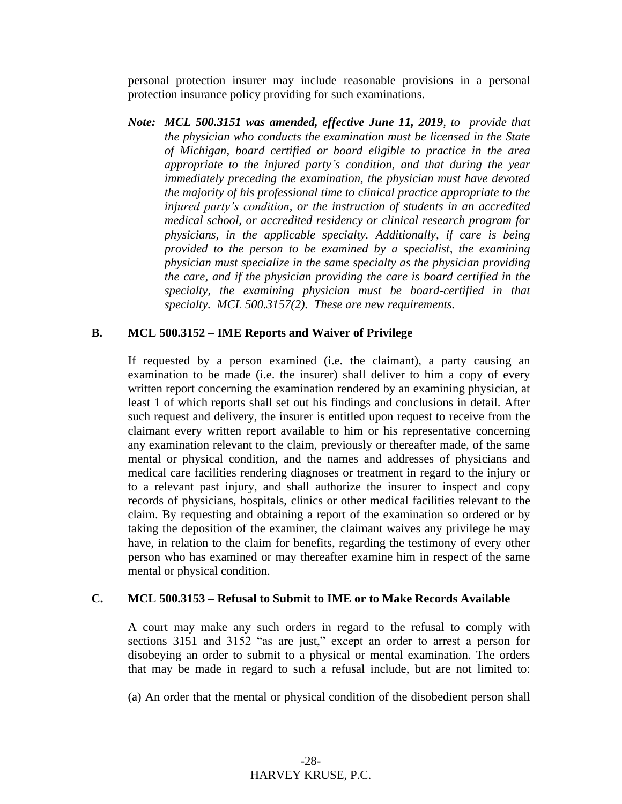personal protection insurer may include reasonable provisions in a personal protection insurance policy providing for such examinations.

*Note: MCL 500.3151 was amended, effective June 11, 2019, to provide that the physician who conducts the examination must be licensed in the State of Michigan, board certified or board eligible to practice in the area appropriate to the injured party's condition, and that during the year immediately preceding the examination, the physician must have devoted the majority of his professional time to clinical practice appropriate to the injured party's condition, or the instruction of students in an accredited medical school, or accredited residency or clinical research program for physicians, in the applicable specialty. Additionally, if care is being provided to the person to be examined by a specialist, the examining physician must specialize in the same specialty as the physician providing the care, and if the physician providing the care is board certified in the specialty, the examining physician must be board-certified in that specialty. MCL 500.3157(2). These are new requirements.*

#### **B. MCL 500.3152 – IME Reports and Waiver of Privilege**

If requested by a person examined (i.e. the claimant), a party causing an examination to be made (i.e. the insurer) shall deliver to him a copy of every written report concerning the examination rendered by an examining physician, at least 1 of which reports shall set out his findings and conclusions in detail. After such request and delivery, the insurer is entitled upon request to receive from the claimant every written report available to him or his representative concerning any examination relevant to the claim, previously or thereafter made, of the same mental or physical condition, and the names and addresses of physicians and medical care facilities rendering diagnoses or treatment in regard to the injury or to a relevant past injury, and shall authorize the insurer to inspect and copy records of physicians, hospitals, clinics or other medical facilities relevant to the claim. By requesting and obtaining a report of the examination so ordered or by taking the deposition of the examiner, the claimant waives any privilege he may have, in relation to the claim for benefits, regarding the testimony of every other person who has examined or may thereafter examine him in respect of the same mental or physical condition.

#### **C. MCL 500.3153 – Refusal to Submit to IME or to Make Records Available**

A court may make any such orders in regard to the refusal to comply with sections 3151 and 3152 "as are just," except an order to arrest a person for disobeying an order to submit to a physical or mental examination. The orders that may be made in regard to such a refusal include, but are not limited to:

(a) An order that the mental or physical condition of the disobedient person shall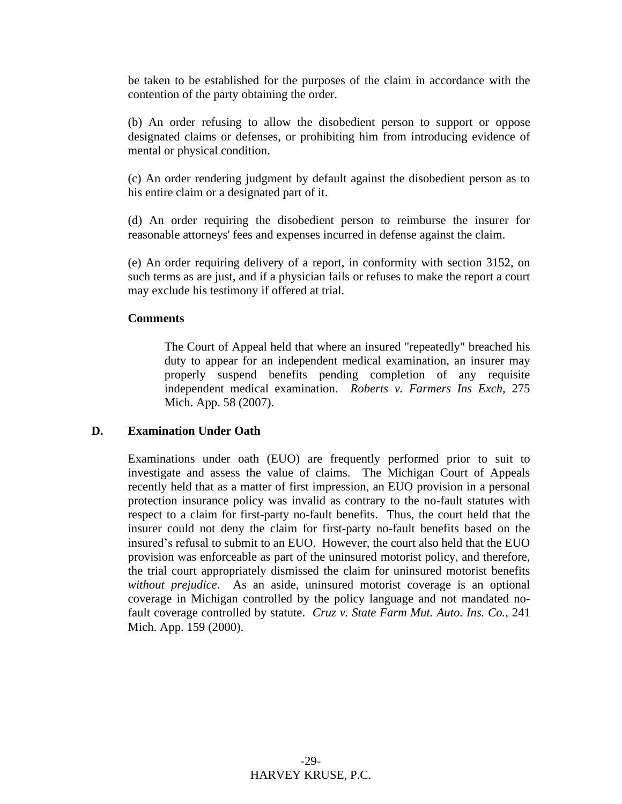be taken to be established for the purposes of the claim in accordance with the contention of the party obtaining the order.

(b) An order refusing to allow the disobedient person to support or oppose designated claims or defenses, or prohibiting him from introducing evidence of mental or physical condition.

(c) An order rendering judgment by default against the disobedient person as to his entire claim or a designated part of it.

(d) An order requiring the disobedient person to reimburse the insurer for reasonable attorneys' fees and expenses incurred in defense against the claim.

(e) An order requiring delivery of a report, in conformity with section 3152, on such terms as are just, and if a physician fails or refuses to make the report a court may exclude his testimony if offered at trial.

#### **Comments**

The Court of Appeal held that where an insured "repeatedly" breached his duty to appear for an independent medical examination, an insurer may properly suspend benefits pending completion of any requisite independent medical examination. *Roberts v. Farmers Ins Exch,* 275 Mich. App. 58 (2007).

#### **D. Examination Under Oath**

Examinations under oath (EUO) are frequently performed prior to suit to investigate and assess the value of claims. The Michigan Court of Appeals recently held that as a matter of first impression, an EUO provision in a personal protection insurance policy was invalid as contrary to the no-fault statutes with respect to a claim for first-party no-fault benefits. Thus, the court held that the insurer could not deny the claim for first-party no-fault benefits based on the insured's refusal to submit to an EUO. However, the court also held that the EUO provision was enforceable as part of the uninsured motorist policy, and therefore, the trial court appropriately dismissed the claim for uninsured motorist benefits *without prejudice*. As an aside, uninsured motorist coverage is an optional coverage in Michigan controlled by the policy language and not mandated nofault coverage controlled by statute. *Cruz v. State Farm Mut. Auto. Ins. Co.*, 241 Mich. App. 159 (2000).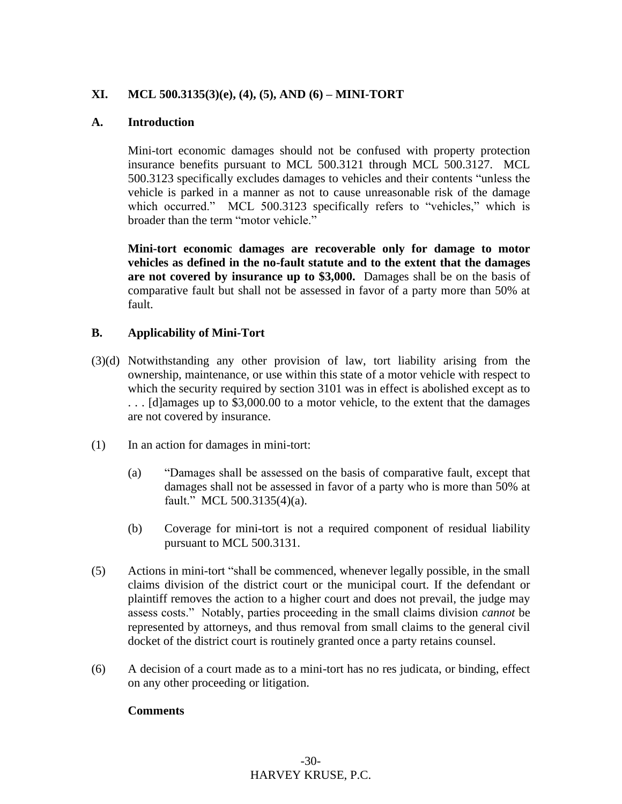#### **XI. MCL 500.3135(3)(e), (4), (5), AND (6) – MINI-TORT**

#### **A. Introduction**

Mini-tort economic damages should not be confused with property protection insurance benefits pursuant to MCL 500.3121 through MCL 500.3127. MCL 500.3123 specifically excludes damages to vehicles and their contents "unless the vehicle is parked in a manner as not to cause unreasonable risk of the damage which occurred." MCL 500.3123 specifically refers to "vehicles," which is broader than the term "motor vehicle."

**Mini-tort economic damages are recoverable only for damage to motor vehicles as defined in the no-fault statute and to the extent that the damages are not covered by insurance up to \$3,000.** Damages shall be on the basis of comparative fault but shall not be assessed in favor of a party more than 50% at fault.

#### **B. Applicability of Mini-Tort**

- (3)(d) Notwithstanding any other provision of law, tort liability arising from the ownership, maintenance, or use within this state of a motor vehicle with respect to which the security required by section 3101 was in effect is abolished except as to . . . [d]amages up to \$3,000.00 to a motor vehicle, to the extent that the damages are not covered by insurance.
- (1) In an action for damages in mini-tort:
	- (a) "Damages shall be assessed on the basis of comparative fault, except that damages shall not be assessed in favor of a party who is more than 50% at fault." MCL 500.3135(4)(a).
	- (b) Coverage for mini-tort is not a required component of residual liability pursuant to MCL 500.3131.
- (5) Actions in mini-tort "shall be commenced, whenever legally possible, in the small claims division of the district court or the municipal court. If the defendant or plaintiff removes the action to a higher court and does not prevail, the judge may assess costs." Notably, parties proceeding in the small claims division *cannot* be represented by attorneys, and thus removal from small claims to the general civil docket of the district court is routinely granted once a party retains counsel.
- (6) A decision of a court made as to a mini-tort has no res judicata, or binding, effect on any other proceeding or litigation.

#### **Comments**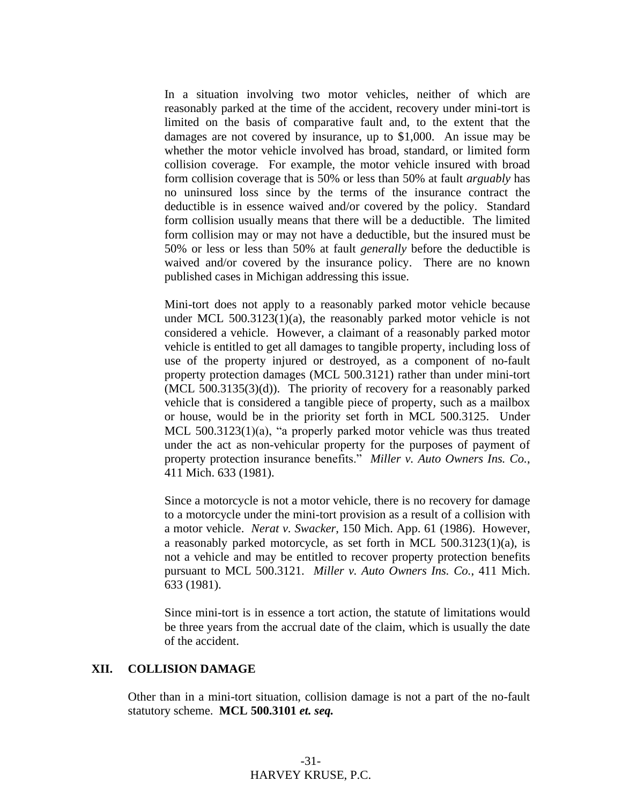In a situation involving two motor vehicles, neither of which are reasonably parked at the time of the accident, recovery under mini-tort is limited on the basis of comparative fault and, to the extent that the damages are not covered by insurance, up to \$1,000. An issue may be whether the motor vehicle involved has broad, standard, or limited form collision coverage. For example, the motor vehicle insured with broad form collision coverage that is 50% or less than 50% at fault *arguably* has no uninsured loss since by the terms of the insurance contract the deductible is in essence waived and/or covered by the policy. Standard form collision usually means that there will be a deductible. The limited form collision may or may not have a deductible, but the insured must be 50% or less or less than 50% at fault *generally* before the deductible is waived and/or covered by the insurance policy. There are no known published cases in Michigan addressing this issue.

Mini-tort does not apply to a reasonably parked motor vehicle because under MCL 500.3123(1)(a), the reasonably parked motor vehicle is not considered a vehicle. However, a claimant of a reasonably parked motor vehicle is entitled to get all damages to tangible property, including loss of use of the property injured or destroyed, as a component of no-fault property protection damages (MCL 500.3121) rather than under mini-tort (MCL 500.3135(3)(d)). The priority of recovery for a reasonably parked vehicle that is considered a tangible piece of property, such as a mailbox or house, would be in the priority set forth in MCL 500.3125. Under MCL 500.3123(1)(a), "a properly parked motor vehicle was thus treated under the act as non-vehicular property for the purposes of payment of property protection insurance benefits." *Miller v. Auto Owners Ins. Co.*, 411 Mich. 633 (1981).

Since a motorcycle is not a motor vehicle, there is no recovery for damage to a motorcycle under the mini-tort provision as a result of a collision with a motor vehicle. *Nerat v. Swacker*, 150 Mich. App. 61 (1986). However, a reasonably parked motorcycle, as set forth in MCL 500.3123(1)(a), is not a vehicle and may be entitled to recover property protection benefits pursuant to MCL 500.3121. *Miller v. Auto Owners Ins. Co.*, 411 Mich. 633 (1981).

Since mini-tort is in essence a tort action, the statute of limitations would be three years from the accrual date of the claim, which is usually the date of the accident.

#### **XII. COLLISION DAMAGE**

Other than in a mini-tort situation, collision damage is not a part of the no-fault statutory scheme. **MCL 500.3101** *et. seq.*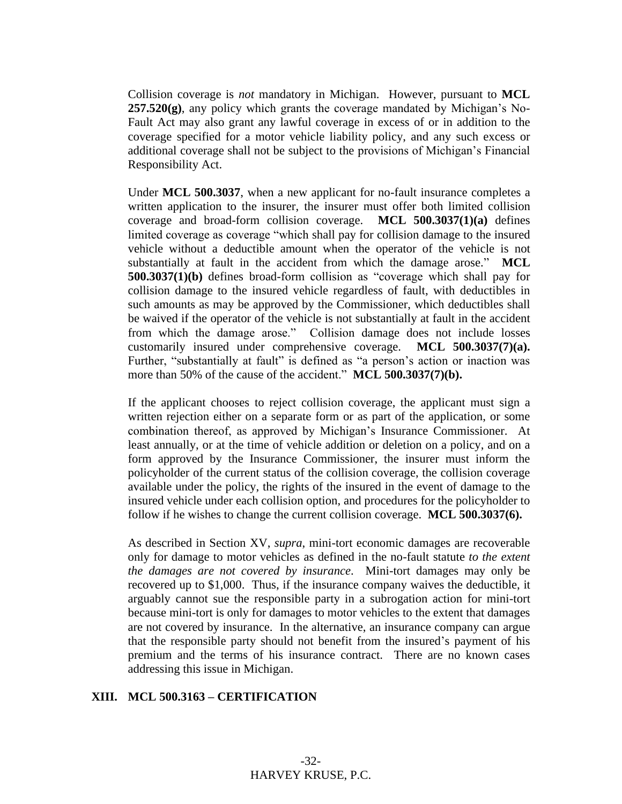Collision coverage is *not* mandatory in Michigan. However, pursuant to **MCL 257.520(g)**, any policy which grants the coverage mandated by Michigan's No-Fault Act may also grant any lawful coverage in excess of or in addition to the coverage specified for a motor vehicle liability policy, and any such excess or additional coverage shall not be subject to the provisions of Michigan's Financial Responsibility Act.

Under **MCL 500.3037**, when a new applicant for no-fault insurance completes a written application to the insurer, the insurer must offer both limited collision coverage and broad-form collision coverage. **MCL 500.3037(1)(a)** defines limited coverage as coverage "which shall pay for collision damage to the insured vehicle without a deductible amount when the operator of the vehicle is not substantially at fault in the accident from which the damage arose." **MCL 500.3037(1)(b)** defines broad-form collision as "coverage which shall pay for collision damage to the insured vehicle regardless of fault, with deductibles in such amounts as may be approved by the Commissioner, which deductibles shall be waived if the operator of the vehicle is not substantially at fault in the accident from which the damage arose." Collision damage does not include losses customarily insured under comprehensive coverage. **MCL 500.3037(7)(a).** Further, "substantially at fault" is defined as "a person's action or inaction was more than 50% of the cause of the accident." **MCL 500.3037(7)(b).**

If the applicant chooses to reject collision coverage, the applicant must sign a written rejection either on a separate form or as part of the application, or some combination thereof, as approved by Michigan's Insurance Commissioner. At least annually, or at the time of vehicle addition or deletion on a policy, and on a form approved by the Insurance Commissioner, the insurer must inform the policyholder of the current status of the collision coverage, the collision coverage available under the policy, the rights of the insured in the event of damage to the insured vehicle under each collision option, and procedures for the policyholder to follow if he wishes to change the current collision coverage. **MCL 500.3037(6).**

As described in Section XV, *supra*, mini-tort economic damages are recoverable only for damage to motor vehicles as defined in the no-fault statute *to the extent the damages are not covered by insurance*. Mini-tort damages may only be recovered up to \$1,000. Thus, if the insurance company waives the deductible, it arguably cannot sue the responsible party in a subrogation action for mini-tort because mini-tort is only for damages to motor vehicles to the extent that damages are not covered by insurance. In the alternative, an insurance company can argue that the responsible party should not benefit from the insured's payment of his premium and the terms of his insurance contract. There are no known cases addressing this issue in Michigan.

#### **XIII. MCL 500.3163 – CERTIFICATION**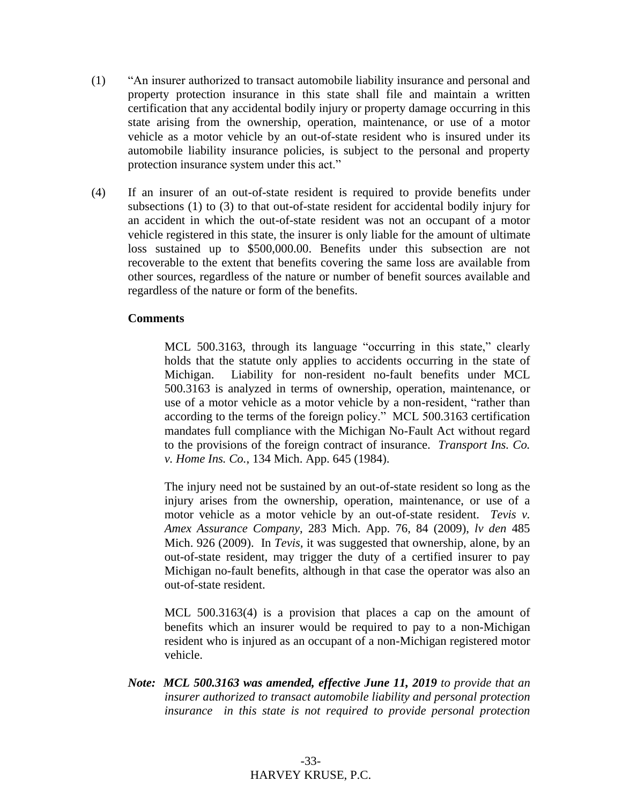- (1) "An insurer authorized to transact automobile liability insurance and personal and property protection insurance in this state shall file and maintain a written certification that any accidental bodily injury or property damage occurring in this state arising from the ownership, operation, maintenance, or use of a motor vehicle as a motor vehicle by an out-of-state resident who is insured under its automobile liability insurance policies, is subject to the personal and property protection insurance system under this act."
- (4) If an insurer of an out-of-state resident is required to provide benefits under subsections (1) to (3) to that out-of-state resident for accidental bodily injury for an accident in which the out-of-state resident was not an occupant of a motor vehicle registered in this state, the insurer is only liable for the amount of ultimate loss sustained up to \$500,000.00. Benefits under this subsection are not recoverable to the extent that benefits covering the same loss are available from other sources, regardless of the nature or number of benefit sources available and regardless of the nature or form of the benefits.

#### **Comments**

MCL 500.3163, through its language "occurring in this state," clearly holds that the statute only applies to accidents occurring in the state of Michigan. Liability for non-resident no-fault benefits under MCL 500.3163 is analyzed in terms of ownership, operation, maintenance, or use of a motor vehicle as a motor vehicle by a non-resident, "rather than according to the terms of the foreign policy." MCL 500.3163 certification mandates full compliance with the Michigan No-Fault Act without regard to the provisions of the foreign contract of insurance. *Transport Ins. Co. v. Home Ins. Co.*, 134 Mich. App. 645 (1984).

The injury need not be sustained by an out-of-state resident so long as the injury arises from the ownership, operation, maintenance, or use of a motor vehicle as a motor vehicle by an out-of-state resident. *Tevis v. Amex Assurance Company*, 283 Mich. App. 76, 84 (2009), *lv den* 485 Mich. 926 (2009). In *Tevis,* it was suggested that ownership, alone, by an out-of-state resident, may trigger the duty of a certified insurer to pay Michigan no-fault benefits, although in that case the operator was also an out-of-state resident.

MCL 500.3163(4) is a provision that places a cap on the amount of benefits which an insurer would be required to pay to a non-Michigan resident who is injured as an occupant of a non-Michigan registered motor vehicle.

*Note: MCL 500.3163 was amended, effective June 11, 2019 to provide that an insurer authorized to transact automobile liability and personal protection insurance in this state is not required to provide personal protection*